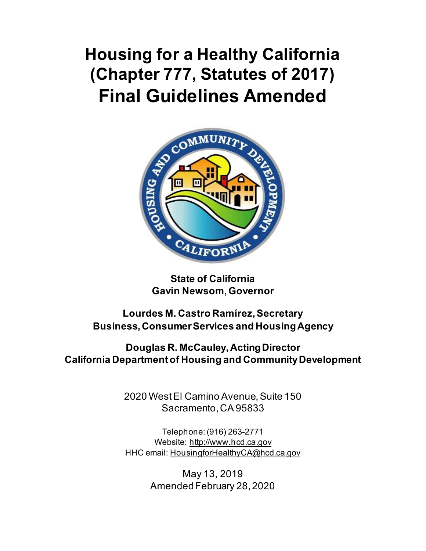# **Final Guidelines Amended Housing for a Healthy California (Chapter 777, Statutes of 2017)**



**State of California Gavin Newsom, Governor** 

**Lourdes M. Castro Ramírez, Secretary Business, Consumer Services and HousingAgency** 

**Douglas R. McCauley, Acting Director California Department of Housing and CommunityDevelopment** 

> 2020 West El Camino Avenue, Suite 150 Sacramento, CA 95833

> Telephone: (916) 263-2771 Website:<http://www.hcd.ca.gov> HHC email: [HousingforHealthyCA@hcd.ca.gov](mailto:HousingforHealthyCA@hcd.ca.gov)

> > May 13, 2019 AmendedFebruary 28, 2020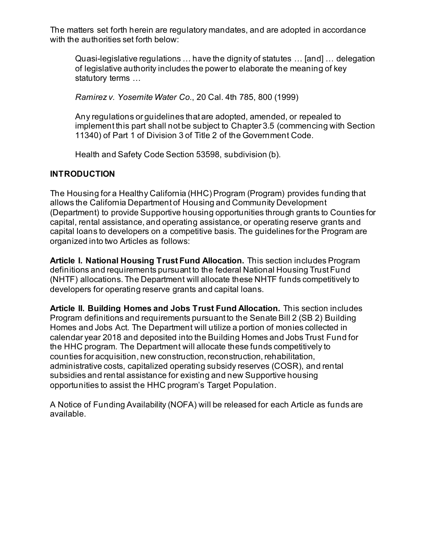The matters set forth herein are regulatory mandates, and are adopted in accordance with the authorities set forth below:

 Quasi-legislative regulations … have the dignity of statutes … [and] … delegation of legislative authority includes the power to elaborate the meaning of key statutory terms …

 *Ramirez v. Yosemite Water Co.*, 20 Cal. 4th 785, 800 (1999)

 Any regulations or guidelines that are adopted, amended, or repealed to implement this part shall not be subject to Chapter 3.5 (commencing with Section 11340) of Part 1 of Division 3 of Title 2 of the Government Code.

Health and Safety Code Section 53598, subdivision (b).

#### **INTRODUCTION**

 The Housing for a Healthy California (HHC) Program (Program) provides funding that allows the California Department of Housing and Community Development capital, rental assistance, and operating assistance, or operating reserve grants and capital loans to developers on a competitive basis. The guidelines for the Program are organized into two Articles as follows: (Department) to provide Supportive housing opportunities through grants to Counties for

 **Article I. National Housing Trust Fund Allocation.** This section includes Program definitions and requirements pursuant to the federal National Housing Trust Fund (NHTF) allocations. The Department will allocate these NHTF funds competitively to developers for operating reserve grants and capital loans.

 Program definitions and requirements pursuant to the Senate Bill 2 (SB 2) Building Homes and Jobs Act. The Department will utilize a portion of monies collected in calendar year 2018 and deposited into the Building Homes and Jobs Trust Fund for the HHC program. The Department will allocate these funds competitively to counties for acquisition, new construction, reconstruction,rehabilitation, administrative costs, capitalized operating subsidy reserves (COSR), and rental subsidies and rental assistance for existing and new Supportive housing opportunities to assist the HHC program's Target Population. **Article II. Building Homes and Jobs Trust Fund Allocation.** This section includes

opportunities to assist the HHC program's Target Population.<br>A Notice of Funding Availability (NOFA) will be released for each Article as funds are available.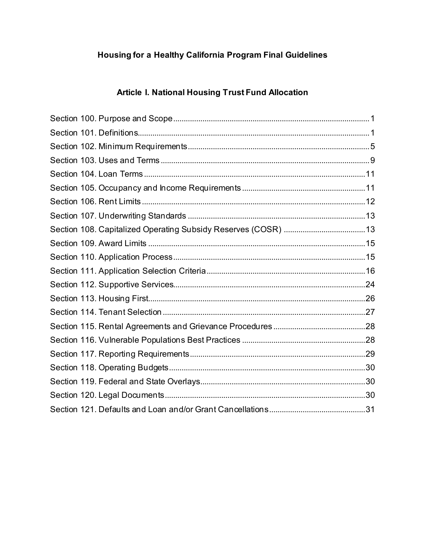# Housing for a Healthy California Program Final Guidelines

# Article I. National Housing Trust Fund Allocation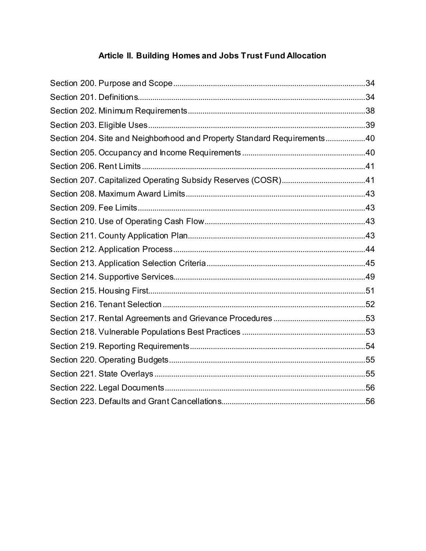# Article II. Building Homes and Jobs Trust Fund Allocation

| Section 204. Site and Neighborhood and Property Standard Requirements40 |  |
|-------------------------------------------------------------------------|--|
|                                                                         |  |
|                                                                         |  |
|                                                                         |  |
|                                                                         |  |
|                                                                         |  |
|                                                                         |  |
|                                                                         |  |
|                                                                         |  |
|                                                                         |  |
|                                                                         |  |
|                                                                         |  |
|                                                                         |  |
|                                                                         |  |
|                                                                         |  |
|                                                                         |  |
|                                                                         |  |
|                                                                         |  |
|                                                                         |  |
|                                                                         |  |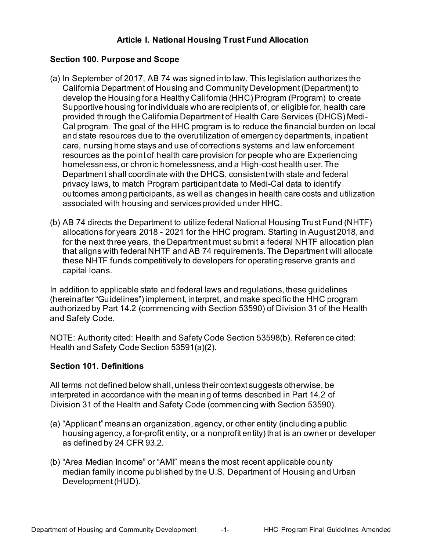# **Article I. National Housing Trust Fund Allocation**

#### <span id="page-4-0"></span>**Section 100. Purpose and Scope**

- (a) In September of 2017, AB 74 was signed into law. This legislation authorizes the California Department of Housing and Community Development (Department) to develop the Housing for a Healthy California (HHC) Program (Program) to create Supportive housing for individuals who are recipients of, or eligible for, health care provided through the California Department of Health Care Services (DHCS) Medi- Cal program. The goal of the HHC program is to reduce the financial burden on local and state resources due to the overutilization of emergency departments, inpatient care, nursing home stays and use of corrections systems and law enforcement resources as the point of health care provision for people who are Experiencing homelessness, or chronic homelessness, and a High-cost health user. The Department shall coordinate with the DHCS, consistent with state and federal privacy laws, to match Program participant data to Medi-Cal data to identify outcomes among participants, as well as changes in health care costs and utilization associated with housing and services provided under HHC.
- (b) AB 74 directs the Department to utilize federal National Housing Trust Fund (NHTF) allocations for years 2018 - 2021 for the HHC program. Starting in August 2018, and for the next three years, the Department must submit a federal NHTF allocation plan that aligns with federal NHTF and AB 74 requirements. The Department will allocate these NHTF funds competitively to developers for operating reserve grants and capital loans.

 In addition to applicable state and federal laws and regulations, these guidelines (hereinafter "Guidelines") implement, interpret, and make specific the HHC program authorized by Part 14.2 (commencing with Section 53590) of Division 31 of the Health and Safety Code.

 NOTE: Authority cited: Health and Safety Code Section 53598(b). Reference cited: Health and Safety Code Section 53591(a)(2).

#### <span id="page-4-1"></span>**Section 101. Definitions**

 All terms not defined below shall, unless their context suggests otherwise, be interpreted in accordance with the meaning of terms described in Part 14.2 of Division 31 of the Health and Safety Code (commencing with Section 53590).

- (a) "Applicant" means an organization, agency, or other entity (including a public housing agency, a for-profit entity, or a nonprofit entity) that is an owner or developer as defined by 24 CFR 93.2.
- (b) "Area Median Income" or "AMI" means the most recent applicable county median family income published by the U.S. Department of Housing and Urban Development (HUD).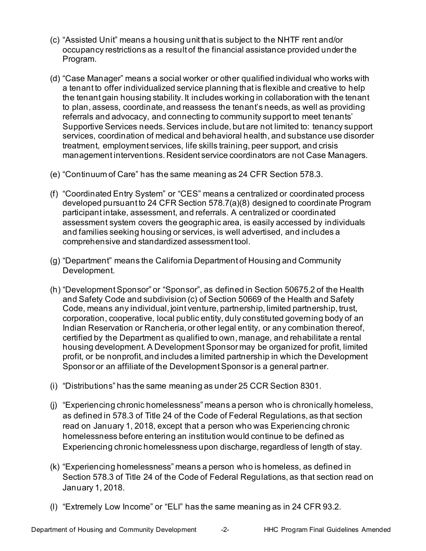- (c) "Assisted Unit" means a housing unit that is subject to the NHTF rent and/or occupancy restrictions as a result of the financial assistance provided under the Program.
- (d) "Case Manager" means a social worker or other qualified individual who works with a tenant to offer individualized service planning that is flexible and creative to help the tenant gain housing stability. It includes working in collaboration with the tenant to plan, assess, coordinate, and reassess the tenant's needs, as well as providing referrals and advocacy, and connecting to community support to meet tenants' Supportive Services needs. Services include, but are not limited to: tenancy support treatment, employment services, life skills training, peer support, and crisis management interventions. Resident service coordinators are not Case Managers. services, coordination of medical and behavioral health, and substance use disorder
- (e) "Continuum of Care" has the same meaning as 24 CFR Section 578.3.
- (f) "Coordinated Entry System" or "CES" means a centralized or coordinated process developed pursuant to 24 CFR Section 578.7(a)(8) designed to coordinate Program participant intake, assessment, and referrals. A centralized or coordinated assessment system covers the geographic area, is easily accessed by individuals and families seeking housing or services, is well advertised, and includes a comprehensive and standardized assessment tool.
- (g) "Department" means the California Department of Housing and Community Development.
- (h) "Development Sponsor" or "Sponsor", as defined in Section 50675.2 of the Health and Safety Code and subdivision (c) of Section 50669 of the Health and Safety Code, means any individual, joint venture, partnership, limited partnership, trust, corporation, cooperative, local public entity, duly constituted governing body of an Indian Reservation or Rancheria, or other legal entity, or any combination thereof, certified by the Department as qualified to own, manage, and rehabilitate a rental housing development. A Development Sponsor may be organized for profit, limited profit, or be nonprofit, and includes a limited partnership in which the Development Sponsor or an affiliate of the Development Sponsor is a general partner.
- (i) "Distributions" has the same meaning as under 25 CCR Section 8301.
- (j) "Experiencing chronic homelessness" means a person who is chronically homeless, as defined in 578.3 of Title 24 of the Code of Federal Regulations, as that section read on January 1, 2018, except that a person who was Experiencing chronic homelessness before entering an institution would continue to be defined as Experiencing chronic homelessness upon discharge, regardless of length of stay.
- (k) "Experiencing homelessness" means a person who is homeless, as defined in Section 578.3 of Title 24 of the Code of Federal Regulations, as that section read on January 1, 2018.
- (l) "Extremely Low Income" or "ELI" has the same meaning as in 24 CFR 93.2.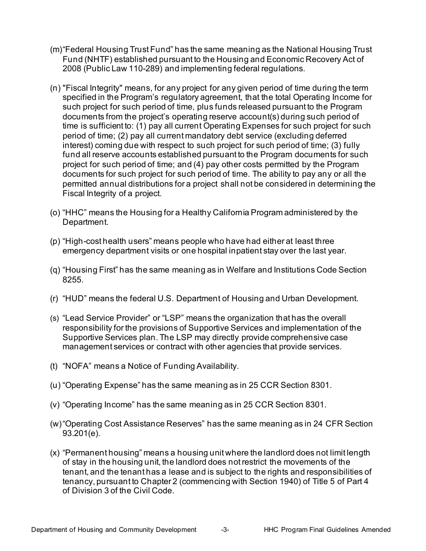- (m)"Federal Housing Trust Fund" has the same meaning as the National Housing Trust Fund (NHTF) established pursuant to the Housing and Economic Recovery Act of 2008 (Public Law 110-289) and implementing federal regulations.
- (n) "Fiscal Integrity" means, for any project for any given period of time during the term specified in the Program's regulatory agreement, that the total Operating Income for such project for such period of time, plus funds released pursuant to the Program documents from the project's operating reserve account(s) during such period of time is sufficient to: (1) pay all current Operating Expenses for such project for such period of time; (2) pay all current mandatory debt service (excluding deferred interest) coming due with respect to such project for such period of time; (3) fully fund all reserve accounts established pursuant to the Program documents for such project for such period of time; and (4) pay other costs permitted by the Program documents for such project for such period of time. The ability to pay any or all the permitted annual distributions for a project shall not be considered in determining the Fiscal Integrity of a project.
- (o) "HHC" means the Housing for a Healthy California Program administered by the Department.
- (p) "High-cost health users" means people who have had either at least three emergency department visits or one hospital inpatient stay over the last year.
- (q) "Housing First" has the same meaning as in Welfare and Institutions Code Section 8255.
- (r) "HUD" means the federal U.S. Department of Housing and Urban Development.
- (s) "Lead Service Provider" or "LSP" means the organization that has the overall responsibility for the provisions of Supportive Services and implementation of the Supportive Services plan. The LSP may directly provide comprehensive case management services or contract with other agencies that provide services.
- (t) "NOFA" means a Notice of Funding Availability.
- (u) "Operating Expense" has the same meaning as in 25 CCR Section 8301.
- (v) "Operating Income" has the same meaning as in 25 CCR Section 8301.
- (w)"Operating Cost Assistance Reserves" has the same meaning as in 24 CFR Section 93.201(e).
- (x) "Permanent housing" means a housing unit where the landlord does not limit length of stay in the housing unit, the landlord does not restrict the movements of the tenant, and the tenant has a lease and is subject to the rights and responsibilities of tenancy, pursuant to Chapter 2 (commencing with Section 1940) of Title 5 of Part 4 of Division 3 of the Civil Code.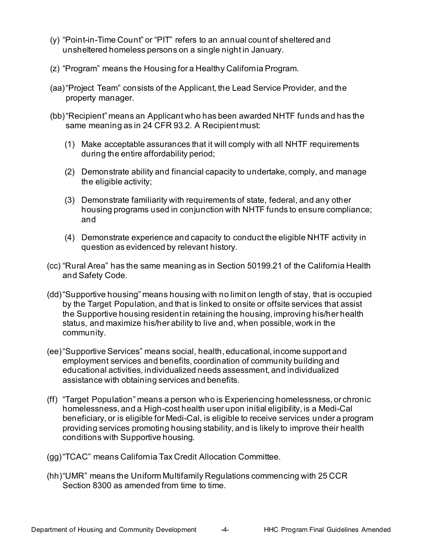- (y) "Point-in-Time Count" or "PIT" refers to an annual count of sheltered and unsheltered homeless persons on a single night in January.
- (z) "Program" means the Housing for a Healthy California Program.
- (aa)"Project Team" consists of the Applicant, the Lead Service Provider, and the property manager.
- (bb)"Recipient" means an Applicant who has been awarded NHTF funds and has the same meaning as in 24 CFR 93.2. A Recipient must:
	- (1) Make acceptable assurances that it will comply with all NHTF requirements during the entire affordability period;
	- (2) Demonstrate ability and financial capacity to undertake, comply, and manage the eligible activity;
	- (3) Demonstrate familiarity with requirements of state, federal, and any other housing programs used in conjunction with NHTF funds to ensure compliance; and
	- (4) Demonstrate experience and capacity to conduct the eligible NHTF activity in question as evidenced by relevant history.
- (cc) "Rural Area" has the same meaning as in Section 50199.21 of the California Health and Safety Code.
- (dd)"Supportive housing" means housing with no limit on length of stay, that is occupied the Supportive housing resident in retaining the housing, improving his/her health status, and maximize his/her ability to live and, when possible, work in the by the Target Population, and that is linked to onsite or offsite services that assist community.
- (ee)"Supportive Services" means social, health, educational, income support and employment services and benefits, coordination of community building and educational activities, individualized needs assessment, and individualized assistance with obtaining services and benefits.
- (ff) "Target Population" means a person who is Experiencing homelessness, or chronic homelessness, and a High-cost health user upon initial eligibility, is a Medi-Cal beneficiary, or is eligible for Medi-Cal, is eligible to receive services under a program providing services promoting housing stability, and is likely to improve their health conditions with Supportive housing.
- (gg)"TCAC" means California Tax Credit Allocation Committee.
- (hh)"UMR" means the Uniform Multifamily Regulations commencing with 25 CCR Section 8300 as amended from time to time.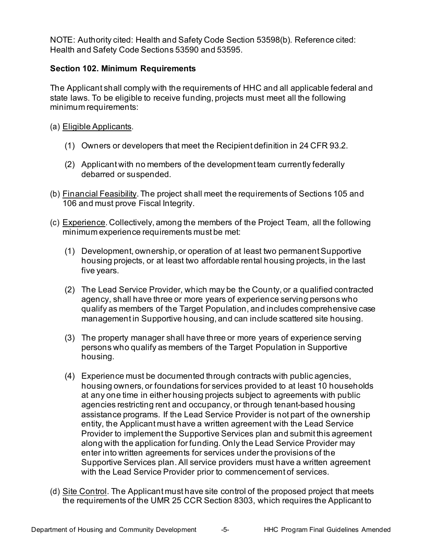NOTE: Authority cited: Health and Safety Code Section 53598(b). Reference cited: Health and Safety Code Sections 53590 and 53595.

#### <span id="page-8-0"></span> **Section 102. Minimum Requirements**

 The Applicant shall comply with the requirements of HHC and all applicable federal and state laws. To be eligible to receive funding, projects must meet all the following minimum requirements:

- (a) <u>Eligible Applicants</u>.
	- (1) Owners or developers that meet the Recipient definition in 24 CFR 93.2.
	- (1) Owners or developers that meet the Recipient definition in 24 CFR 93.2.<br>(2) Applicant with no members of the development team currently federally debarred or suspended.
- (b) <u>Financial Feasibility</u>. The project shall meet the requirements of Sections 105 and 106 and must prove Fiscal Integrity.
- (c) <u>Experience</u>. Collectively, among the members of the Project Team, all the following minimum experience requirements must be met:
	- (1) Development, ownership, or operation of at least two permanent Supportive housing projects, or at least two affordable rental housing projects, in the last five years.
	- (2) The Lead Service Provider, which may be the County, or a qualified contracted agency, shall have three or more years of experience serving persons who qualify as members of the Target Population, and includes comprehensive case management in Supportive housing, and can include scattered site housing.
	- (3) The property manager shall have three or more years of experience serving persons who qualify as members of the Target Population in Supportive housing.
	- (4) Experience must be documented through contracts with public agencies, housing owners, or foundations for services provided to at least 10 households at any one time in either housing projects subject to agreements with public agencies restricting rent and occupancy, or through tenant-based housing assistance programs. If the Lead Service Provider is not part of the ownership entity, the Applicant must have a written agreement with the Lead Service Provider to implement the Supportive Services plan and submit this agreement along with the application for funding. Only the Lead Service Provider may enter into written agreements for services under the provisions of the Supportive Services plan. All service providers must have a written agreement with the Lead Service Provider prior to commencement of services.
- (d) <u>Site Control</u>. The Applicant must have site control of the proposed project that meets the requirements of the UMR 25 CCR Section 8303, which requires the Applicant to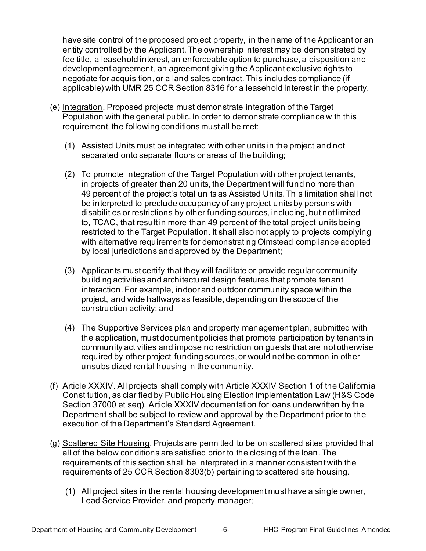have site control of the proposed project property, in the name of the Applicant or an entity controlled by the Applicant. The ownership interest may be demonstrated by fee title, a leasehold interest, an enforceable option to purchase, a disposition and development agreement, an agreement giving the Applicant exclusive rights to negotiate for acquisition, or a land sales contract. This includes compliance (if applicable) with UMR 25 CCR Section 8316 for a leasehold interest in the property.

- (e) <u>Integration</u>. Proposed projects must demonstrate integration of the Target Population with the general public. In order to demonstrate compliance with this requirement, the following conditions must all be met:
	- (1) Assisted Units must be integrated with other units in the project and not separated onto separate floors or areas of the building;
	- (2) To promote integration of the Target Population with other project tenants, in projects of greater than 20 units, the Department will fund no more than 49 percent of the project's total units as Assisted Units. This limitation shall not be interpreted to preclude occupancy of any project units by persons with disabilities or restrictions by other funding sources, including, but not limited to, TCAC, that result in more than 49 percent of the total project units being restricted to the Target Population. It shall also not apply to projects complying with alternative requirements for demonstrating Olmstead compliance adopted by local jurisdictions and approved by the Department;
	- (3) Applicants must certify that they will facilitate or provide regular community building activities and architectural design features that promote tenant interaction. For example, indoor and outdoor community space within the project, and wide hallways as feasible, depending on the scope of the construction activity; and
	- the application, must document policies that promote participation by tenants in community activities and impose no restriction on guests that are not otherwise required by other project funding sources, or would not be common in other unsubsidized rental housing in the community. (4) The Supportive Services plan and property management plan, submitted with
- unsubsidized rental housing in the community.<br>(f) <u>Article XXXIV</u>. All projects shall comply with Article XXXIV Section 1 of the California) Constitution, as clarified by Public Housing Election Implementation Law (H&S Code Section 37000 et seq). Article XXXIV documentation for loans underwritten by the Department shall be subject to review and approval by the Department prior to the execution of the Department's Standard Agreement.
- (g) <u>Scattered Site Housing</u>. Projects are permitted to be on scattered sites provided that all of the below conditions are satisfied prior to the closing of the loan. The requirements of this section shall be interpreted in a manner consistent with the requirements of 25 CCR Section 8303(b) pertaining to scattered site housing.
	- All project sites in the rental housing development must have a single owner, Lead Service Provider, and property manager;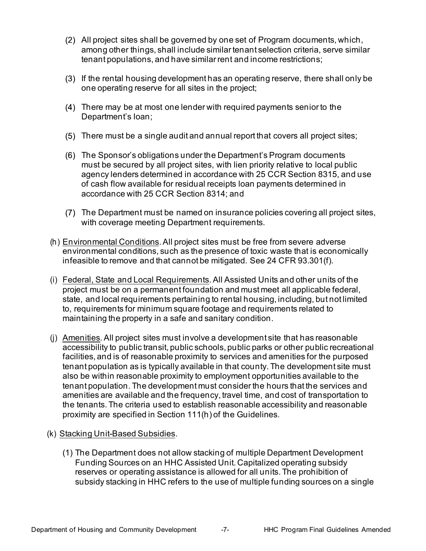- All project sites shall be governed by one set of Program documents, which, among other things, shall include similar tenant selection criteria, serve similar tenant populations, and have similar rent and income restrictions;
- If the rental housing development has an operating reserve, there shall only be one operating reserve for all sites in the project;
- There may be at most one lender with required payments senior to the Department's loan;
- There must be a single audit and annual report that covers all project sites;
- The Sponsor's obligations under the Department's Program documents must be secured by all project sites, with lien priority relative to local public agency lenders determined in accordance with 25 CCR Section 8315, and use of cash flow available for residual receipts loan payments determined in accordance with 25 CCR Section 8314; and
- The Department must be named on insurance policies covering all project sites, with coverage meeting Department requirements.
- (h) <u>Environmental Conditions</u>. All project sites must be free from severe adverse environmental conditions, such as the presence of toxic waste that is economically infeasible to remove and that cannot be mitigated. See 24 CFR 93.301(f).
- (i) Federal, State and Local Requirements. All Assisted Units and other units of the project must be on a permanent foundation and must meet all applicable federal, state, and local requirements pertaining to rental housing, including, but not limited to, requirements for minimum square footage and requirements related to maintaining the property in a safe and sanitary condition.
- (j) Amenities. All project sites must involve a development site that has reasonable accessibility to public transit, public schools, public parks or other public recreational facilities, and is of reasonable proximity to services and amenities for the purposed tenant population as is typically available in that county. The development site must tenant population. The development must consider the hours that the services and amenities are available and the frequency, travel time, and cost of transportation to the tenants. The criteria used to establish reasonable accessibility and reasonable proximity are specified in Section 111(h) of the Guidelines. also be within reasonable proximity to employment opportunities available to the
- (k) Stacking Unit-Based Subsidies.
	- Funding Sources on an HHC Assisted Unit. Capitalized operating subsidy reserves or operating assistance is allowed for all units. The prohibition of subsidy stacking in HHC refers to the use of multiple funding sources on a single (1) The Department does not allow stacking of multiple Department Development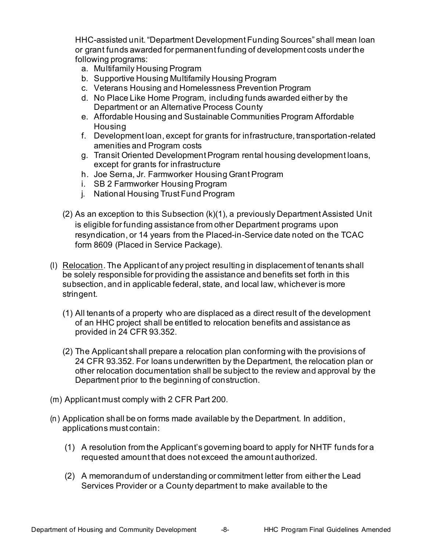HHC-assisted unit. "Department Development Funding Sources" shall mean loan or grant funds awarded for permanent funding of development costs under the following programs:

- a. Multifamily Housing Program
- b. Supportive Housing Multifamily Housing Program
- c. Veterans Housing and Homelessness Prevention Program
- d. No Place Like Home Program, including funds awarded either by the Department or an Alternative Process County
- e. Affordable Housing and Sustainable Communities Program Affordable Housing
- f. Development loan, except for grants for infrastructure, transportation-related amenities and Program costs
- g. Transit Oriented Development Program rental housing development loans, except for grants for infrastructure
- h. Joe Serna, Jr. Farmworker Housing Grant Program
- i. SB 2 Farmworker Housing Program
- j. National Housing Trust Fund Program
- (2) As an exception to this Subsection (k)(1), a previously Department Assisted Unit is eligible for funding assistance from other Department programs upon resyndication, or 14 years from the Placed-in-Service date noted on the TCAC form 8609 (Placed in Service Package).
- (I) Relocation. The Applicant of any project resulting in displacement of tenants shall be solely responsible for providing the assistance and benefits set forth in this subsection, and in applicable federal, state, and local law, whichever is more stringent.
	- (1) All tenants of a property who are displaced as a direct result of the development of an HHC project shall be entitled to relocation benefits and assistance as provided in 24 CFR 93.352.
	- (2) The Applicant shall prepare a relocation plan conforming with the provisions of 24 CFR 93.352. For loans underwritten by the Department, the relocation plan or other relocation documentation shall be subject to the review and approval by the Department prior to the beginning of construction.
- $(m)$  Applicant must comply with 2 CFR Part 200.
- (n) Application shall be on forms made available by the Department. In addition, applications must contain:
	- (1) A resolution from the Applicant's governing board to apply for NHTF funds for a requested amount that does not exceed the amount authorized.
	- (2) A memorandum of understanding or commitment letter from either the Lead Services Provider or a County department to make available to the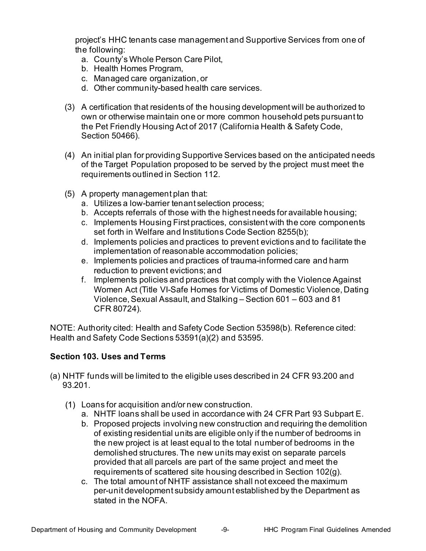project's HHC tenants case management and Supportive Services from one of the following:

- a. County's Whole Person Care Pilot,
- b. Health Homes Program,
- c. Managed care organization, or
- d. Other community-based health care services.
- d. Other community-based health care services. (3) A certification that residents of the housing development will be authorized to own or otherwise maintain one or more common household pets pursuant to the Pet Friendly Housing Act of 2017 (California Health & Safety Code, Section 50466).
- (4) An initial plan for providing Supportive Services based on the anticipated needs of the Target Population proposed to be served by the project must meet the requirements outlined in Section 112.
- (5) A property management plan that:
	- a. Utilizes a low-barrier tenant selection process;
	- b. Accepts referrals of those with the highest needs for available housing;
	- c. Implements Housing First practices, consistent with the core components set forth in Welfare and Institutions Code Section 8255(b);
	- d. Implements policies and practices to prevent evictions and to facilitate the implementation of reasonable accommodation policies;
	- e. Implements policies and practices of trauma-informed care and harm reduction to prevent evictions; and
	- f. Implements policies and practices that comply with the Violence Against Violence, Sexual Assault, and Stalking – Section 601 – 603 and 81 CFR 80724). Women Act (Title VI-Safe Homes for Victims of Domestic Violence, Dating

 NOTE: Authority cited: Health and Safety Code Section 53598(b). Reference cited: Health and Safety Code Sections 53591(a)(2) and 53595.

# <span id="page-12-0"></span> **Section 103. Uses and Terms**

- (a) NHTF funds will be limited to the eligible uses described in 24 CFR 93.200 and 93.201.
	- Loans for acquisition and/or new construction.
		- a. NHTF loans shall be used in accordance with 24 CFR Part 93 Subpart E.
		- of existing residential units are eligible only if the number of bedrooms in the new project is at least equal to the total number of bedrooms in the demolished structures. The new units may exist on separate parcels provided that all parcels are part of the same project and meet the requirements of scattered site housing described in Section 102(g). b. Proposed projects involving new construction and requiring the demolition
		- c. The total amount of NHTF assistance shall not exceed the maximum per-unit development subsidy amount established by the Department as stated in the NOFA.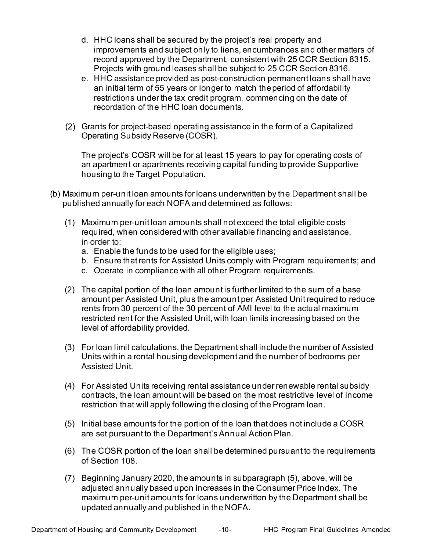- d. HHC loans shall be secured by the project's real property and improvements and subject only to liens, encumbrances and other matters of record approved by the Department, consistent with 25 CCR Section 8315. Projects with ground leases shall be subject to 25 CCR Section 8316.
- e. HHC assistance provided as post-construction permanent loans shall have an initial term of 55 years or longer to match theperiod of affordability restrictions under the tax credit program, commencing on the date of recordation of the HHC loan documents.
- Grants for project-based operating assistance in the form of a Capitalized Operating Subsidy Reserve (COSR).

 The project's COSR will be for at least 15 years to pay for operating costs of an apartment or apartments receiving capital funding to provide Supportive housing to the Target Population.

- (b) Maximum per-unit loan amounts for loans underwritten by the Department shall be published annually for each NOFA and determined as follows:
	- (1) Maximum per-unit loan amounts shall not exceed the total eligible costs required, when considered with other available financing and assistance, in order to:
		- a. Enable the funds to be used for the eligible uses;
		- b. Ensure that rents for Assisted Units comply with Program requirements; and
		- c. Operate in compliance with all other Program requirements.
	- (2) The capital portion of the loan amount is further limited to the sum of a base amount per Assisted Unit, plus the amount per Assisted Unit required to reduce rents from 30 percent of the 30 percent of AMI level to the actual maximum restricted rent for the Assisted Unit, with loan limits increasing based on the level of affordability provided.
	- (3) For loan limit calculations, the Department shall include the number of Assisted Units within a rental housing development and the number of bedrooms per Assisted Unit.
	- (4) For Assisted Units receiving rental assistance under renewable rental subsidy contracts, the loan amount will be based on the most restrictive level of income restriction that will apply following the closing of the Program loan.
	- (5) Initial base amounts for the portion of the loan that does not include a COSR are set pursuant to the Department's Annual Action Plan.
	- (6) The COSR portion of the loan shall be determined pursuant to the requirements of Section 108.
	- (7) Beginning January 2020, the amounts in subparagraph (5), above, will be adjusted annually based upon increases in the Consumer Price Index. The maximum per-unit amounts for loans underwritten by the Department shall be updated annually and published in the NOFA.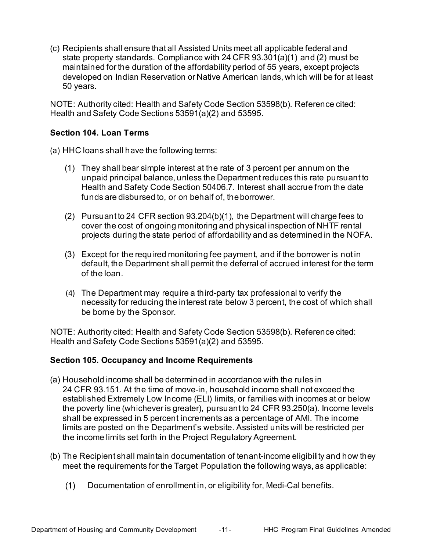(c) Recipients shall ensure that all Assisted Units meet all applicable federal and state property standards. Compliance with 24 CFR 93.301(a)(1) and (2) must be maintained for the duration of the affordability period of 55 years, except projects developed on Indian Reservation or Native American lands, which will be for at least 50 years.

 50 years. NOTE: Authority cited: Health and Safety Code Section 53598(b). Reference cited: Health and Safety Code Sections 53591(a)(2) and 53595.

#### **Section 104. Loan Terms**

(a) HHC loans shall have the following terms:

- <span id="page-14-0"></span> (1) They shall bear simple interest at the rate of 3 percent per annum on the unpaid principal balance, unless the Department reduces this rate pursuant to Health and Safety Code Section 50406.7. Interest shall accrue from the date funds are disbursed to, or on behalf of, theborrower.
- (2) Pursuant to 24 CFR section 93.204(b)(1), the Department will charge fees to cover the cost of ongoing monitoring and physical inspection of NHTF rental projects during the state period of affordability and as determined in the NOFA.
- (3) Except for the required monitoring fee payment, and if the borrower is not in default, the Department shall permit the deferral of accrued interest for the term of the loan.
- (4) The Department may require a third-party tax professional to verify the necessity for reducing the interest rate below 3 percent, the cost of which shall be borne by the Sponsor.

 NOTE: Authority cited: Health and Safety Code Section 53598(b). Reference cited: Health and Safety Code Sections 53591(a)(2) and 53595.

#### <span id="page-14-1"></span>**Section 105. Occupancy and Income Requirements**

- (a) Household income shall be determined in accordance with the rules in 24 CFR 93.151. At the time of move-in, household income shall not exceed the established Extremely Low Income (ELI) limits, or families with incomes at or below the poverty line (whichever is greater), pursuant to 24 CFR 93.250(a). Income levels limits are posted on the Department's website. Assisted units will be restricted per the income limits set forth in the Project Regulatory Agreement. shall be expressed in 5 percent increments as a percentage of AMI. The income
- (b) The Recipient shall maintain documentation of tenant-income eligibility and how they meet the requirements for the Target Population the following ways, as applicable:
	- $(1)$ Documentation of enrollment in, or eligibility for, Medi-Cal benefits.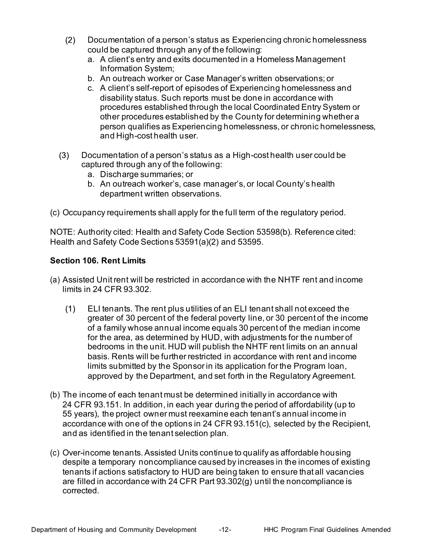- $(2)$  Documentation of a person's status as Experiencing chronic homelessness could be captured through any of the following:
	- a. A client's entry and exits documented in a Homeless Management Information System;
	- b. An outreach worker or Case Manager's written observations; or
	- c. A client's self-report of episodes of Experiencing homelessness and disability status. Such reports must be done in accordance with procedures established through the local Coordinated Entry System or person qualifies as Experiencing homelessness, or chronic homelessness, and High-cost health user. other procedures established by the County for determining whether a
- $(3)$  Documentation of a person's status as a High-cost health user could be captured through any of the following:
	- a. Discharge summaries; or
	- b. An outreach worker's, case manager's, or local County's health department written observations.
- (c) Occupancy requirements shall apply for the full term of the regulatory period.

 NOTE: Authority cited: Health and Safety Code Section 53598(b). Reference cited: Health and Safety Code Sections 53591(a)(2) and 53595.

# <span id="page-15-0"></span>**Section 106. Rent Limits**

- (a) Assisted Unit rent will be restricted in accordance with the NHTF rent and income limits in 24 CFR 93.302.
	- $(1)$  ELI tenants. The rent plus utilities of an ELI tenant shall not exceed the greater of 30 percent of the federal poverty line, or 30 percent of the income of a family whose annual income equals 30 percent of the median income for the area, as determined by HUD, with adjustments for the number of bedrooms in the unit. HUD will publish the NHTF rent limits on an annual basis. Rents will be further restricted in accordance with rent and income limits submitted by the Sponsor in its application for the Program loan, approved by the Department, and set forth in the Regulatory Agreement.
- (b) The income of each tenant must be determined initially in accordance with 24 CFR 93.151. In addition, in each year during the period of affordability (up to 55 years), the project owner must reexamine each tenant's annual income in accordance with one of the options in 24 CFR 93.151(c), selected by the Recipient, and as identified in the tenant selection plan.
- (c) Over-income tenants. Assisted Units continue to qualify as affordable housing despite a temporary noncompliance caused by increases in the incomes of existing tenants if actions satisfactory to HUD are being taken to ensure that all vacancies are filled in accordance with 24 CFR Part 93.302(g) until the noncompliance is corrected.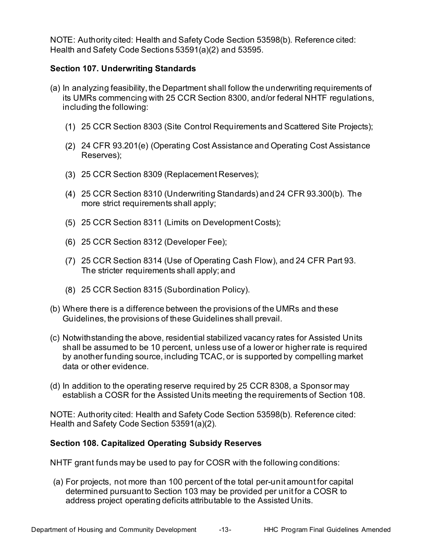NOTE: Authority cited: Health and Safety Code Section 53598(b). Reference cited: Health and Safety Code Sections 53591(a)(2) and 53595.

## <span id="page-16-0"></span>**Section 107. Underwriting Standards**

- (a) In analyzing feasibility, the Department shall follow the underwriting requirements of its UMRs commencing with 25 CCR Section 8300, and/or federal NHTF regulations, including the following:
	- 25 CCR Section 8303 (Site Control Requirements and Scattered Site Projects);
	- 24 CFR 93.201(e) (Operating Cost Assistance and Operating Cost Assistance Reserves);
	- 25 CCR Section 8309 (Replacement Reserves);
	- 25 CCR Section 8310 (Underwriting Standards) and 24 CFR 93.300(b). The more strict requirements shall apply;
	- 25 CCR Section 8311 (Limits on Development Costs);
	- 25 CCR Section 8312 (Developer Fee);
	- 25 CCR Section 8314 (Use of Operating Cash Flow), and 24 CFR Part 93. The stricter requirements shall apply; and
	- 25 CCR Section 8315 (Subordination Policy).
- (b) Where there is a difference between the provisions of the UMRs and these Guidelines, the provisions of these Guidelines shall prevail.
- (c) Notwithstanding the above, residential stabilized vacancy rates for Assisted Units shall be assumed to be 10 percent, unless use of a lower or higher rate is required by another funding source, including TCAC, or is supported by compelling market data or other evidence.
- (d) In addition to the operating reserve required by 25 CCR 8308, a Sponsor may establish a COSR for the Assisted Units meeting the requirements of Section 108.

 NOTE: Authority cited: Health and Safety Code Section 53598(b). Reference cited: Health and Safety Code Section 53591(a)(2).

#### <span id="page-16-1"></span> **Section 108. Capitalized Operating Subsidy Reserves**

NHTF grant funds may be used to pay for COSR with the following conditions:

 (a) For projects, not more than 100 percent of the total per-unit amount for capital determined pursuant to Section 103 may be provided per unit for a COSR to address project operating deficits attributable to the Assisted Units.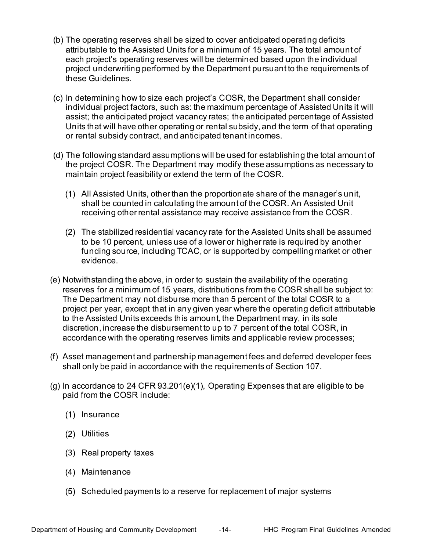- (b) The operating reserves shall be sized to cover anticipated operating deficits attributable to the Assisted Units for a minimum of 15 years. The total amount of each project's operating reserves will be determined based upon the individual project underwriting performed by the Department pursuant to the requirements of these Guidelines.
- (c) In determining how to size each project's COSR, the Department shall consider individual project factors, such as: the maximum percentage of Assisted Units it will assist; the anticipated project vacancy rates; the anticipated percentage of Assisted Units that will have other operating or rental subsidy, and the term of that operating or rental subsidy contract, and anticipated tenant incomes.
- (d) The following standard assumptions will be used for establishing the total amount of the project COSR. The Department may modify these assumptions as necessary to maintain project feasibility or extend the term of the COSR.
	- All Assisted Units, other than the proportionate share of the manager's unit, shall be counted in calculating the amount of the COSR. An Assisted Unit receiving other rental assistance may receive assistance from the COSR.
	- The stabilized residential vacancy rate for the Assisted Units shall be assumed to be 10 percent, unless use of a lower or higher rate is required by another funding source, including TCAC, or is supported by compelling market or other evidence.
- (e) Notwithstanding the above, in order to sustain the availability of the operating reserves for a minimum of 15 years, distributions from the COSR shall be subject to: project per year, except that in any given year where the operating deficit attributable to the Assisted Units exceeds this amount, the Department may, in its sole discretion, increase the disbursement to up to 7 percent of the total COSR, in accordance with the operating reserves limits and applicable review processes; The Department may not disburse more than 5 percent of the total COSR to a
- (f) Asset management and partnership management fees and deferred developer fees shall only be paid in accordance with the requirements of Section 107.
- (g) In accordance to 24 CFR 93.201(e)(1), Operating Expenses that are eligible to be paid from the COSR include:
	- $(1)$  Insurance
	- (2) Utilities
	- Real property taxes
	- (4) Maintenance
	- Scheduled payments to a reserve for replacement of major systems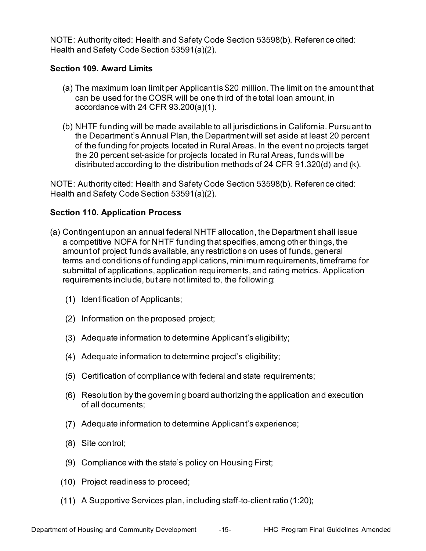NOTE: Authority cited: Health and Safety Code Section 53598(b). Reference cited: Health and Safety Code Section 53591(a)(2).

#### <span id="page-18-0"></span>**Section 109. Award Limits**

- (a) The maximum loan limit per Applicant is \$20 million. The limit on the amount that can be used for the COSR will be one third of the total loan amount, in accordance with 24 CFR 93.200(a)(1).
- (b) NHTF funding will be made available to all jurisdictions in California. Pursuant to the Department's Annual Plan, the Department will set aside at least 20 percent of the funding for projects located in Rural Areas. In the event no projects target the 20 percent set-aside for projects located in Rural Areas, funds will be distributed according to the distribution methods of 24 CFR 91.320(d) and (k).

 NOTE: Authority cited: Health and Safety Code Section 53598(b). Reference cited: Health and Safety Code Section 53591(a)(2).

# <span id="page-18-1"></span> **Section 110. Application Process**

- (a) Contingent upon an annual federal NHTF allocation, the Department shall issue a competitive NOFA for NHTF funding that specifies, among other things, the amount of project funds available, any restrictions on uses of funds, general terms and conditions of funding applications, minimum requirements, timeframe for submittal of applications, application requirements, and rating metrics. Application requirements include, but are not limited to, the following:
	- $(1)$  Identification of Applicants;
	- $(2)$  Information on the proposed project;
	- Adequate information to determine Applicant's eligibility;
	- Adequate information to determine project's eligibility;
	- Certification of compliance with federal and state requirements;
	- Resolution by the governing board authorizing the application and execution of all documents;
	- Adequate information to determine Applicant's experience;
	- Site control;
	- Compliance with the state's policy on Housing First;
	- Project readiness to proceed;
	- A Supportive Services plan, including staff-to-clientratio (1:20);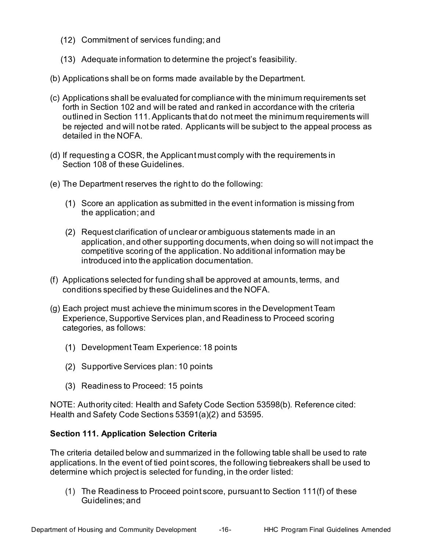- (12) Commitment of services funding; and
- Adequate information to determine the project's feasibility.
- (b) Applications shall be on forms made available by the Department.
- (c) Applications shall be evaluated for compliance with the minimum requirements set forth in Section 102 and will be rated and ranked in accordance with the criteria outlined in Section 111. Applicants that do not meet the minimum requirements will be rejected and will not be rated. Applicants will be subject to the appeal process as detailed in the NOFA.
- (d) If requesting a COSR, the Applicant must comply with the requirements in Section 108 of these Guidelines.
- (e) The Department reserves the right to do the following:
	- Score an application as submitted in the event information is missing from the application; and
	- Request clarification of unclear or ambiguous statements made in an application, and other supporting documents, when doing so will not impact the introduced into the application documentation. competitive scoring of the application. No additional information may be
- (f) Applications selected for funding shall be approved at amounts, terms, and conditions specified by these Guidelines and the NOFA.
- (g) Each project must achieve the minimum scores in the Development Team Experience, Supportive Services plan, and Readiness to Proceed scoring categories, as follows:
	- (1) Development Team Experience: 18 points
	- (2) Supportive Services plan: 10 points
	- Readiness to Proceed: 15 points

 NOTE: Authority cited: Health and Safety Code Section 53598(b). Reference cited: Health and Safety Code Sections 53591(a)(2) and 53595.

# <span id="page-19-0"></span> **Section 111. Application Selection Criteria**

 applications. In the event of tied point scores, the following tiebreakers shall be used to determine which project is selected for funding, in the order listed: The criteria detailed below and summarized in the following table shall be used to rate

 (1) The Readiness to Proceed point score, pursuant to Section 111(f) of these Guidelines; and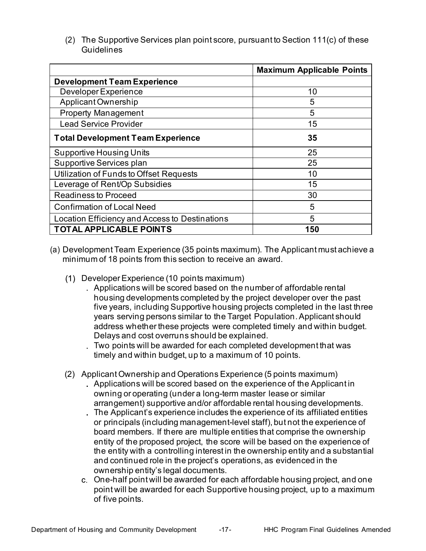(2) The Supportive Services plan point score, pursuant to Section 111(c) of these **Guidelines** 

|                                                | <b>Maximum Applicable Points</b> |
|------------------------------------------------|----------------------------------|
| <b>Development Team Experience</b>             |                                  |
| Developer Experience                           | 10                               |
| Applicant Ownership                            | 5                                |
| <b>Property Management</b>                     | 5                                |
| <b>Lead Service Provider</b>                   | 15                               |
| <b>Total Development Team Experience</b>       | 35                               |
| Supportive Housing Units                       | 25                               |
| Supportive Services plan                       | 25                               |
| Utilization of Funds to Offset Requests        | 10                               |
| Leverage of Rent/Op Subsidies                  | 15                               |
| <b>Readiness to Proceed</b>                    | 30                               |
| <b>Confirmation of Local Need</b>              | 5                                |
| Location Efficiency and Access to Destinations | 5                                |
| <b>TOTAL APPLICABLE POINTS</b>                 | 150                              |

- (a) Development Team Experience (35 points maximum). The Applicant must achieve a minimum of 18 points from this section to receive an award.
	- Developer Experience (10 points maximum)
		- Applications will be scored based on the number of affordable rental housing developments completed by the project developer over the past years serving persons similar to the Target Population. Applicant should address whether these projects were completed timely and within budget. Delays and cost overruns should be explained. five years, including Supportive housing projects completed in the last three
		- Two points will be awarded for each completed development that was timely and within budget, up to a maximum of 10 points.
	- (2) Applicant Ownership and Operations Experience (5 points maximum)
		- Applications will be scored based on the experience of the Applicant in owning or operating (under a long-term master lease or similar arrangement) supportive and/or affordable rental housing developments. The Applicant's experience includes the experience of its affiliated entities or principals (including management-level staff), but not the experience of board members. If there are multiple entities that comprise the ownership entity of the proposed project, the score will be based on the experience of the entity with a controlling interest in the ownership entity and a substantial and continued role in the project's operations, as evidenced in the ownership entity's legal documents.
		- One-half point will be awarded for each affordable housing project, and one of five points. point will be awarded for each Supportive housing project, up to a maximum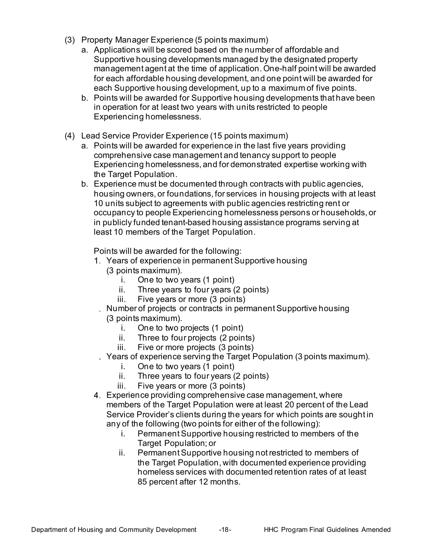- (3) Property Manager Experience (5 points maximum)
	- a. Applications will be scored based on the number of affordable and management agent at the time of application. One-half point will be awarded for each affordable housing development, and one point will be awarded for each Supportive housing development, up to a maximum of five points. Supportive housing developments managed by the designated property
	- b. Points will be awarded for Supportive housing developments that have been in operation for at least two years with units restricted to people Experiencing homelessness.
- (4) Lead Service Provider Experience (15 points maximum)
	- a. Points will be awarded for experience in the last five years providing comprehensive case management and tenancy support to people Experiencing homelessness, and for demonstrated expertise working with the Target Population.
	- b. Experience must be documented through contracts with public agencies, housing owners, or foundations, for services in housing projects with at least 10 units subject to agreements with public agencies restricting rent or occupancy to people Experiencing homelessness persons or households, or in publicly funded tenant-based housing assistance programs serving at least 10 members of the Target Population.

Points will be awarded for the following:

- Years of experience in permanentSupportive housing (3 points maximum).
	- i. One to two years (1 point)
	- ii. Three years to four years (2 points)
	- iii. Five years or more (3 points)
	- Number of projects or contracts in permanentSupportive housing (3 points maximum).
		- i. One to two projects (1 point)
		- ii. Three to four projects (2 points)
		- iii. Five or more projects (3 points)
	- Years of experience serving the Target Population (3 points maximum).
		- i. One to two years (1 point)
		- ii. Three years to four years (2 points)
		- iii. Five years or more (3 points)
- Experience providing comprehensive case management, where Service Provider's clients during the years for which points are sought in members of the Target Population were at least 20 percent of the Lead any of the following (two points for either of the following):
	- Target Population; or i. Permanent Supportive housing restricted to members of the
	- ii. Permanent Supportive housing not restricted to members of the Target Population, with documented experience providing homeless services with documented retention rates of at least 85 percent after 12 months.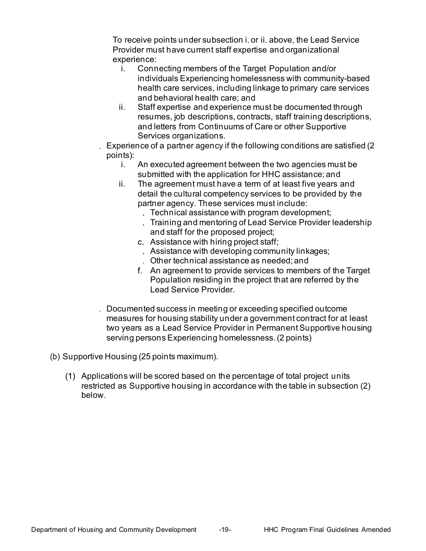To receive points under subsection i. or ii. above, the Lead Service Provider must have current staff expertise and organizational experience:

- i. Connecting members of the Target Population and/or health care services, including linkage to primary care services and behavioral health care; and individuals Experiencing homelessness with community-based
- resumes, job descriptions, contracts, staff training descriptions, and letters from Continuums of Care or other Supportive ii. Staff expertise and experience must be documented through Services organizations.
- Experience of a partner agency if the following conditions are satisfied (2 points):
	- i. An executed agreement between the two agencies must be submitted with the application for HHC assistance; and
	- ii. The agreement must have a term of at least five years and detail the cultural competency services to be provided by the partner agency. These services must include:
		- Technical assistance with program development;
		- Training and mentoring of Lead Service Provider leadership and staff for the proposed project;
		- Assistance with hiring project staff; Assistance with developing community linkages; Other technical assistance as needed; and
		- An agreement to provide services to members of the Target Population residing in the project that are referred by the Lead Service Provider.
- Documented success in meeting or exceeding specified outcome measures for housing stability under a government contract for at least two years as a Lead Service Provider in Permanent Supportive housing serving persons Experiencing homelessness. (2 points)
- (b) Supportive Housing (25 points maximum).
	- Applications will be scored based on the percentage of total project units restricted as Supportive housing in accordance with the table in subsection (2) below.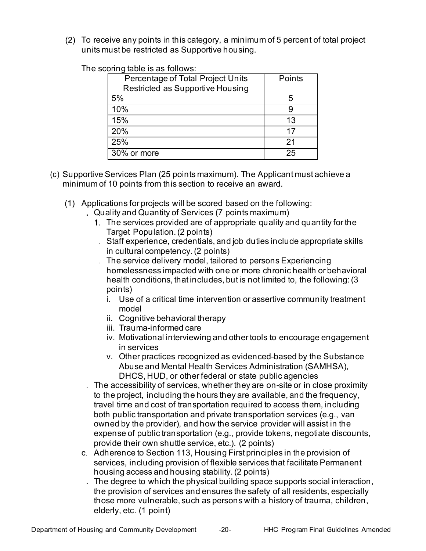To receive any points in this category, a minimum of 5 percent of total project units must be restricted as Supportive housing.

The scoring table is as follows:

| Percentage of Total Project Units | Points |
|-----------------------------------|--------|
| Restricted as Supportive Housing  |        |
| 5%                                | 5      |
| 10%                               |        |
| 15%                               | 13     |
| 20%                               | 17     |
| 25%                               | 21     |
| 30% or more                       | 25     |

- (c) Supportive Services Plan (25 points maximum). The Applicant must achieve a minimum of 10 points from this section to receive an award.
	- (1) Applications for projects will be scored based on the following:
		- Quality and Quantity of Services (7 points maximum)
			- The services provided are of appropriate quality and quantity for the Target Population. (2 points)
			- in cultural competency. (2 points) Staff experience, credentials, and job duties include appropriate skills
			- homelessness impacted with one or more chronic health or behavioral health conditions, that includes, but is not limited to, the following:(3 The service delivery model, tailored to persons Experiencing points)
				- i. Use of a critical time intervention or assertive community treatment model
				- ii. Cognitive behavioral therapy
				- iii. Trauma-informed care
				- iv. Motivational interviewing and other tools to encourage engagement in services
				- Abuse and Mental Health Services Administration (SAMHSA), DHCS, HUD, or other federal or state public agencies v. Other practices recognized as evidenced-based by the Substance
		- The accessibility of services, whether they are on-site or in close proximity to the project, including the hours they are available, and the frequency, both public transportation and private transportation services (e.g., van owned by the provider), and how the service provider will assist in the expense of public transportation (e.g., provide tokens, negotiate discounts, provide their own shuttle service, etc.). (2 points) travel time and cost of transportation required to access them, including
		- Adherence to Section 113, Housing First principles in the provision of services, including provision of flexible services that facilitate Permanent housing access and housing stability.(2 points) The degree to which the physical building space supports social interaction, the provision of services and ensures the safety of all residents, especially those more vulnerable, such as persons with a history of trauma, children, elderly, etc. (1 point)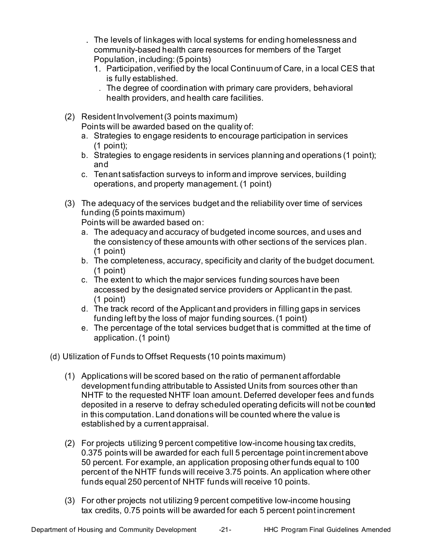The levels of linkages with local systems for ending homelessness and community-based health care resources for members of the Target Population, including: (5 points)

- Participation, verified by the local Continuum of Care, in a local CES that is fully established.
	- The degree of coordination with primary care providers, behavioral health providers, and health care facilities.
- (2) Resident Involvement (3 points maximum) Points will be awarded based on the quality of:
	- (1 point); a. Strategies to engage residents to encourage participation in services
	- b. Strategies to engage residents in services planning and operations (1 point); and
	- c. Tenant satisfaction surveys to inform and improve services, building operations, and property management.(1 point)
- (3) The adequacy of the services budget and the reliability over time of services funding (5 points maximum)

Points will be awarded based on:

- a. The adequacy and accuracy of budgeted income sources, and uses and the consistency of these amounts with other sections of the services plan. (1 point)
- b. The completeness, accuracy, specificity and clarity of the budget document. (1 point)
- c. The extent to which the major services funding sources have been (1 point) accessed by the designated service providers or Applicant in the past.
- d. The track record of the Applicant and providers in filling gaps in services funding left by the loss of major funding sources.(1 point)
- e. The percentage of the total services budget that is committed at the time of application.(1 point)
- (d) Utilization of Funds to Offset Requests (10 points maximum)
	- (1) Applications will be scored based on the ratio of permanent affordable development funding attributable to Assisted Units from sources other than NHTF to the requested NHTF loan amount. Deferred developer fees and funds deposited in a reserve to defray scheduled operating deficits will not be counted in this computation. Land donations will be counted where the value is established by a current appraisal.
	- (2) For projects utilizing 9 percent competitive low-income housing tax credits, 0.375 points will be awarded for each full 5 percentage point increment above 50 percent. For example, an application proposing other funds equal to 100 percent of the NHTF funds will receive 3.75 points. An application where other funds equal 250 percent of NHTF funds will receive 10 points.
	- tax credits, 0.75 points will be awarded for each 5 percent point increment (3) For other projects not utilizing 9 percent competitive low-income housing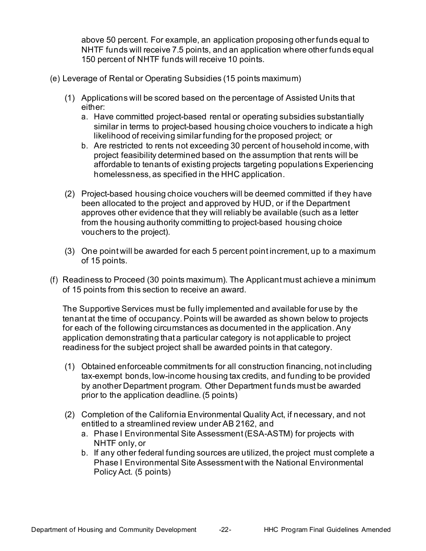above 50 percent. For example, an application proposing other funds equal to NHTF funds will receive 7.5 points, and an application where other funds equal 150 percent of NHTF funds will receive 10 points.

- (e) Leverage of Rental or Operating Subsidies (15 points maximum)
	- (1) Applications will be scored based on the percentage of Assisted Units that either:
		- a. Have committed project-based rental or operating subsidies substantially similar in terms to project-based housing choice vouchers to indicate a high likelihood of receiving similar funding for the proposed project; or
		- b. Are restricted to rents not exceeding 30 percent of household income, with project feasibility determined based on the assumption that rents will be affordable to tenants of existing projects targeting populations Experiencing homelessness, as specified in the HHC application.
	- (2) Project-based housing choice vouchers will be deemed committed if they have been allocated to the project and approved by HUD, or if the Department approves other evidence that they will reliably be available (such as a letter from the housing authority committing to project-based housing choice vouchers to the project).
	- (3) One point will be awarded for each 5 percent point increment, up to a maximum of 15 points.
- of 15 points from this section to receive an award. (f) Readiness to Proceed (30 points maximum). The Applicant must achieve a minimum

 The Supportive Services must be fully implemented and available for use by the tenant at the time of occupancy. Points will be awarded as shown below to projects for each of the following circumstances as documented in the application. Any application demonstrating that a particular category is not applicable to project readiness for the subject project shall be awarded points in that category.

- (1) Obtained enforceable commitments for all construction financing, not including tax-exempt bonds, low-income housing tax credits, and funding to be provided by another Department program. Other Department funds must be awarded prior to the application deadline.(5 points)
- (2) Completion of the California Environmental Quality Act, if necessary, and not entitled to a streamlined review under AB 2162, and
	- a. Phase I Environmental Site Assessment (ESA-ASTM) for projects with NHTF only, or
	- b. If any other federal funding sources are utilized, the project must complete a Phase I Environmental Site Assessment with the National Environmental Policy Act. (5 points)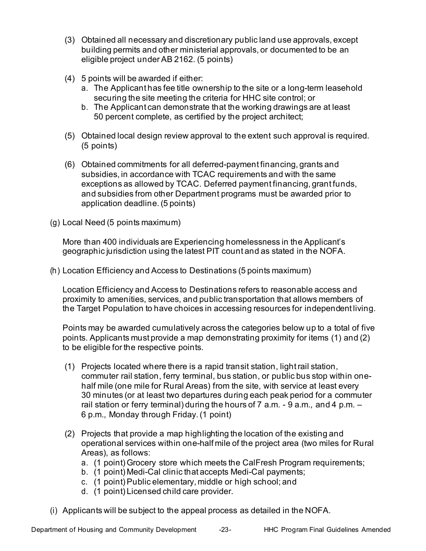- (3) Obtained all necessary and discretionary public land use approvals, except building permits and other ministerial approvals, or documented to be an eligible project under AB 2162. (5 points)
- (4) 5 points will be awarded if either:
	- a. The Applicant has fee title ownership to the site or a long-term leasehold securing the site meeting the criteria for HHC site control; or
	- b. The Applicant can demonstrate that the working drawings are at least 50 percent complete, as certified by the project architect;
- (5) Obtained local design review approval to the extent such approval is required. (5 points)
- (6) Obtained commitments for all deferred-payment financing, grants and subsidies, in accordance with TCAC requirements and with the same exceptions as allowed by TCAC. Deferred payment financing, grant funds, application deadline. (5 points) and subsidies from other Department programs must be awarded prior to
- (g) Local Need (5 points maximum)

 geographic jurisdiction using the latest PIT count and as stated in the NOFA. More than 400 individuals are Experiencing homelessness in the Applicant's

(h) Location Efficiency and Access to Destinations (5 points maximum)

 Location Efficiency and Access to Destinations refers to reasonable access and proximity to amenities, services, and public transportation that allows members of the Target Population to have choices in accessing resources for independent living.

 Points may be awarded cumulatively across the categories below up to a total of five points. Applicants must provide a map demonstrating proximity for items (1) and (2) to be eligible for the respective points.

- (1) Projects located where there is a rapid transit station, light rail station, commuter rail station, ferry terminal, bus station, or public bus stop within one- half mile (one mile for Rural Areas) from the site, with service at least every 30 minutes (or at least two departures during each peak period for a commuter rail station or ferry terminal) during the hours of 7 a.m. - 9 a.m., and 4 p.m. – 6 p.m., Monday through Friday.(1 point)
- (2) Projects that provide a map highlighting the location of the existing and operational services within one-half mile of the project area (two miles for Rural Areas), as follows:
	- a. (1 point) Grocery store which meets the CalFresh Program requirements;
	- b. (1 point) Medi-Cal clinic that accepts Medi-Cal payments;
	- c. (1 point) Public elementary, middle or high school; and
	- d. (1 point) Licensed child care provider.
- (i) Applicants will be subject to the appeal process as detailed in the NOFA.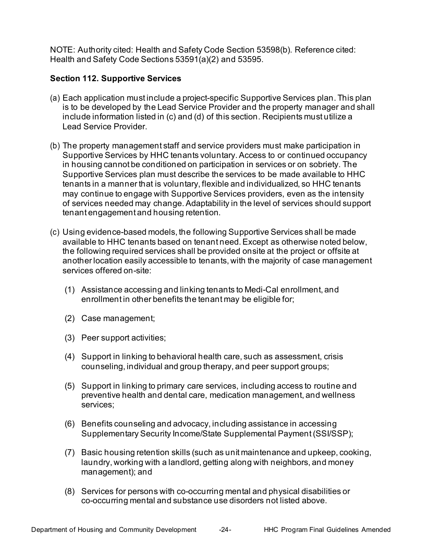NOTE: Authority cited: Health and Safety Code Section 53598(b). Reference cited: Health and Safety Code Sections 53591(a)(2) and 53595.

#### <span id="page-27-0"></span>**Section 112. Supportive Services**

- (a) Each application must include a project-specific Supportive Services plan. This plan include information listed in (c) and (d) of this section. Recipients must utilize a is to be developed by the Lead Service Provider and the property manager and shall Lead Service Provider.
- (b) The property management staff and service providers must make participation in Supportive Services by HHC tenants voluntary. Access to or continued occupancy in housing cannot be conditioned on participation in services or on sobriety. The Supportive Services plan must describe the services to be made available to HHC tenants in a manner that is voluntary, flexible and individualized, so HHC tenants may continue to engage with Supportive Services providers, even as the intensity of services needed may change. Adaptability in the level of services should support tenant engagement and housing retention.
- (c) Using evidence-based models, the following Supportive Services shall be made available to HHC tenants based on tenant need. Except as otherwise noted below, the following required services shall be provided onsite at the project or offsite at another location easily accessible to tenants, with the majority of case management services offered on-site:
	- (1) Assistance accessing and linking tenants to Medi-Cal enrollment, and enrollment in other benefits the tenant may be eligible for;
	- (2) Case management;
	- (3) Peer support activities;
	- (4) Support in linking to behavioral health care, such as assessment, crisis counseling, individual and group therapy, and peer support groups;
	- (5) Support in linking to primary care services, including access to routine and preventive health and dental care, medication management, and wellness services;
	- Supplementary Security Income/State Supplemental Payment (SSI/SSP); (6) Benefits counseling and advocacy, including assistance in accessing
	- (7) Basic housing retention skills (such as unit maintenance and upkeep, cooking, laundry, working with a landlord, getting along with neighbors, and money management); and
	- (8) Services for persons with co-occurring mental and physical disabilities or co-occurring mental and substance use disorders not listed above.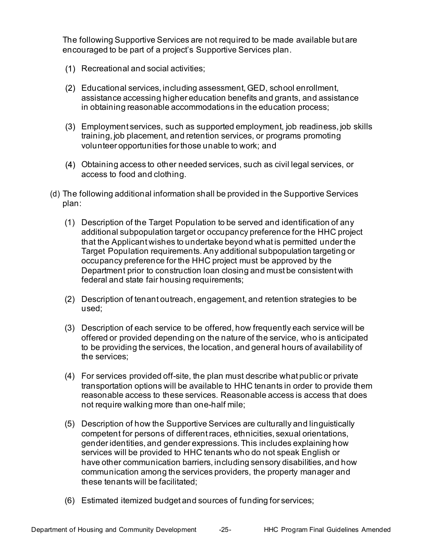The following Supportive Services are not required to be made available but are encouraged to be part of a project's Supportive Services plan.

- Recreational and social activities;
- Educational services, including assessment, GED, school enrollment, assistance accessing higher education benefits and grants, and assistance in obtaining reasonable accommodations in the education process;
- Employment services, such as supported employment, job readiness, job skills training, job placement, and retention services, or programs promoting volunteer opportunities for those unable to work; and
- Obtaining access to other needed services, such as civil legal services, or access to food and clothing.
- (d) The following additional information shall be provided in the Supportive Services plan:
	- (1) Description of the Target Population to be served and identification of any additional subpopulation target or occupancy preference for the HHC project that the Applicant wishes to undertake beyond what is permitted under the Target Population requirements. Any additional subpopulation targeting or occupancy preference for the HHC project must be approved by the Department prior to construction loan closing and must be consistent with federal and state fair housing requirements;
	- (2) Description of tenant outreach, engagement, and retention strategies to be used;
	- (3) Description of each service to be offered, how frequently each service will be offered or provided depending on the nature of the service, who is anticipated to be providing the services, the location, and general hours of availability of the services;
	- (4) For services provided off-site, the plan must describe what public or private transportation options will be available to HHC tenants in order to provide them reasonable access to these services. Reasonable access is access that does not require walking more than one-half mile;
	- (5) Description of how the Supportive Services are culturally and linguistically competent for persons of different races, ethnicities, sexual orientations, gender identities, and gender expressions. This includes explaining how have other communication barriers, including sensory disabilities, and how communication among the services providers, the property manager and these tenants will be facilitated; services will be provided to HHC tenants who do not speak English or
	- (6) Estimated itemized budget and sources of funding for services;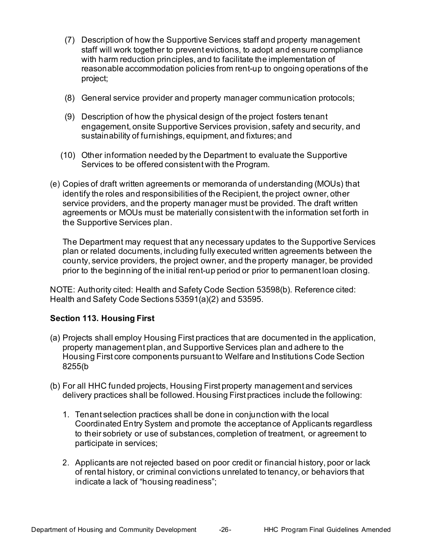- (7) Description of how the Supportive Services staff and property management with harm reduction principles, and to facilitate the implementation of reasonable accommodation policies from rent-up to ongoing operations of the staff will work together to prevent evictions, to adopt and ensure compliance project;
- (8) General service provider and property manager communication protocols;
- (9) Description of how the physical design of the project fosters tenant engagement, onsite Supportive Services provision, safety and security, and sustainability of furnishings, equipment, and fixtures; and
- (10) Other information needed by the Department to evaluate the Supportive Services to be offered consistent with the Program.
- (e) Copies of draft written agreements or memoranda of understanding (MOUs) that identify the roles and responsibilities of the Recipient, the project owner, other agreements or MOUs must be materially consistent with the information set forth in the Supportive Services plan. service providers, and the property manager must be provided. The draft written

 The Department may request that any necessary updates to the Supportive Services plan or related documents, including fully executed written agreements between the county, service providers, the project owner, and the property manager, be provided prior to the beginning of the initial rent-up period or prior to permanent loan closing.

 NOTE: Authority cited: Health and Safety Code Section 53598(b). Reference cited: Health and Safety Code Sections 53591(a)(2) and 53595.

#### <span id="page-29-0"></span> **Section 113. Housing First**

- (a) Projects shall employ Housing First practices that are documented in the application, property management plan, and Supportive Services plan and adhere to the Housing First core components pursuant to Welfare and Institutions Code Section 8255(b
- (b) For all HHC funded projects, Housing First property management and services delivery practices shall be followed. Housing First practices include the following:
	- 1. Tenant selection practices shall be done in conjunction with the local Coordinated Entry System and promote the acceptance of Applicants regardless to their sobriety or use of substances, completion of treatment, or agreement to participate in services;
	- 2. Applicants are not rejected based on poor credit or financial history, poor or lack of rental history, or criminal convictions unrelated to tenancy, or behaviors that indicate a lack of "housing readiness";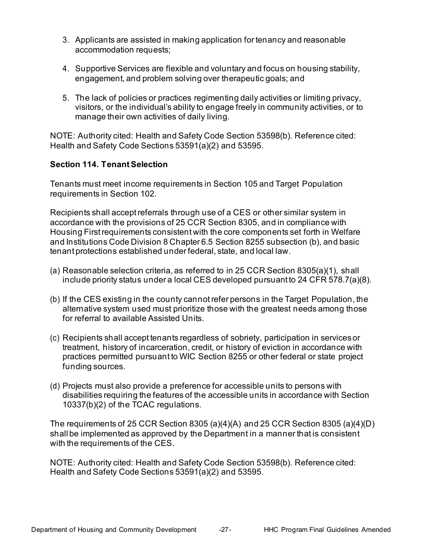- 3. Applicants are assisted in making application for tenancy and reasonable accommodation requests;
- 4. Supportive Services are flexible and voluntary and focus on housing stability, engagement, and problem solving over therapeutic goals; and
- 5. The lack of policies or practices regimenting daily activities or limiting privacy, visitors, or the individual's ability to engage freely in community activities, or to manage their own activities of daily living.

 NOTE: Authority cited: Health and Safety Code Section 53598(b). Reference cited: Health and Safety Code Sections 53591(a)(2) and 53595.

# <span id="page-30-0"></span> **Section 114. Tenant Selection**

 Tenants must meet income requirements in Section 105 and Target Population requirements in Section 102.

 Recipients shall accept referrals through use of a CES or other similar system in accordance with the provisions of 25 CCR Section 8305, and in compliance with Housing First requirements consistent with the core components set forth in Welfare and Institutions Code Division 8 Chapter 6.5 Section 8255 subsection (b), and basic tenant protections established under federal, state, and local law.

- (a) Reasonable selection criteria, as referred to in 25 CCR Section 8305(a)(1), shall include priority status under a local CES developed pursuant to 24 CFR 578.7(a)(8).
- (b) If the CES existing in the county cannot refer persons in the Target Population, the alternative system used must prioritize those with the greatest needs among those for referral to available Assisted Units.
- (c) Recipients shall accept tenants regardless of sobriety, participation in servicesor treatment, history of incarceration, credit, or history of eviction in accordance with practices permitted pursuant to WIC Section 8255 or other federal or state project funding sources.
- (d) Projects must also provide a preference for accessible units to persons with disabilities requiring the features of the accessible units in accordance with Section 10337(b)(2) of the TCAC regulations.

 The requirements of 25 CCR Section 8305 (a)(4)(A) and 25 CCR Section 8305 (a)(4)(D) shall be implemented as approved by the Department in a manner that is consistent with the requirements of the CES.

<span id="page-30-1"></span> NOTE: Authority cited: Health and Safety Code Section 53598(b). Reference cited: Health and Safety Code Sections 53591(a)(2) and 53595.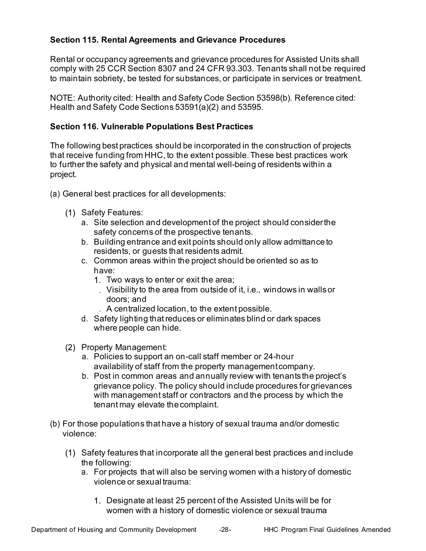# **Section 115. Rental Agreements and Grievance Procedures**

 Rental or occupancy agreements and grievance procedures for Assisted Units shall comply with 25 CCR Section 8307 and 24 CFR 93.303. Tenants shall not be required to maintain sobriety, be tested for substances, or participate in services or treatment.

 NOTE: Authority cited: Health and Safety Code Section 53598(b). Reference cited: Health and Safety Code Sections 53591(a)(2) and 53595.

#### <span id="page-31-0"></span>**Section 116. Vulnerable Populations Best Practices**

 The following best practices should be incorporated in the construction of projects that receive funding from HHC, to the extent possible. These best practices work to further the safety and physical and mental well-being of residents within a project.

- (a) General best practices for all developments:
	- Safety Features:
		- a. Site selection and development of the project should considerthe safety concerns of the prospective tenants.
		- b. Building entrance and exit points should only allow admittance to residents, or guests that residents admit.
		- c. Common areas within the project should be oriented so as to have:
			- Two ways to enter or exit the area;
			- Visibility to the area from outside of it, i.e., windows in wallsor doors; and
				- A centralized location, to the extent possible.
		- d. Safety lighting that reduces or eliminates blind or dark spaces where people can hide.
	- (2) Property Management:
		- a. Policies to support an on-call staff member or 24-hour availability of staff from the property managementcompany.
		- b. Post in common areas and annually review with tenants the project's grievance policy. The policy should include procedures for grievances with management staff or contractors and the process by which the tenant may elevate thecomplaint.
- (b) For those populations that have a history of sexual trauma and/or domestic violence:
	- the following: Safety features that incorporate all the general best practices and include
		- a. For projects that will also be serving women with a history of domestic violence or sexual trauma:
			- Designate at least 25 percent of the Assisted Units will be for women with a history of domestic violence or sexual trauma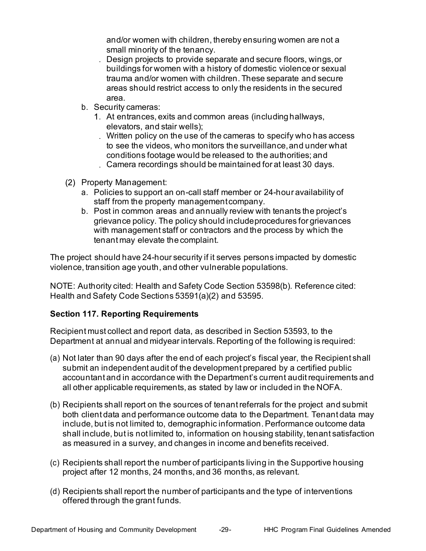and/or women with children, thereby ensuring women are not a small minority of the tenancy.

- Design projects to provide separate and secure floors, wings,or buildings for women with a history of domestic violenceor sexual trauma and/or women with children. These separate and secure areas should restrict access to only the residents in the secured area.
- b. Security cameras:
	- At entrances, exits and common areas (includinghallways, elevators, and stair wells);
		- Written policy on the use of the cameras to specify who has access conditions footage would be released to the authorities; and to see the videos, who monitors the surveillance,and under what
		- Camera recordings should be maintained for at least 30 days.
- (2) Property Management:
	- a. Policies to support an on-call staff member or 24-hour availability of staff from the property managementcompany.
	- b. Post in common areas and annually review with tenants the project's grievance policy. The policy should includeprocedures for grievances with management staff or contractors and the process by which the tenant may elevate thecomplaint.

 The project should have 24-hour security if it serves persons impacted by domestic violence, transition age youth, and other vulnerable populations.

<span id="page-32-0"></span> NOTE: Authority cited: Health and Safety Code Section 53598(b). Reference cited: Health and Safety Code Sections 53591(a)(2) and 53595.

# **Section 117. Reporting Requirements**

 Recipient must collect and report data, as described in Section 53593, to the Department at annual and midyear intervals. Reporting of the following is required:

- (a) Not later than 90 days after the end of each project's fiscal year, the Recipient shall submit an independent audit of the development prepared by a certified public accountant and in accordance with the Department's current audit requirements and all other applicable requirements, as stated by law or included in the NOFA.
- (b) Recipients shall report on the sources of tenant referrals for the project and submit both client data and performance outcome data to the Department. Tenant data may include, but is not limited to, demographic information. Performance outcome data shall include, but is not limited to, information on housing stability, tenant satisfaction as measured in a survey, and changes in income and benefits received.
- (c) Recipients shall report the number of participants living in the Supportive housing project after 12 months, 24 months, and 36 months, as relevant.
- (d) Recipients shall report the number of participants and the type of interventions offered through the grant funds.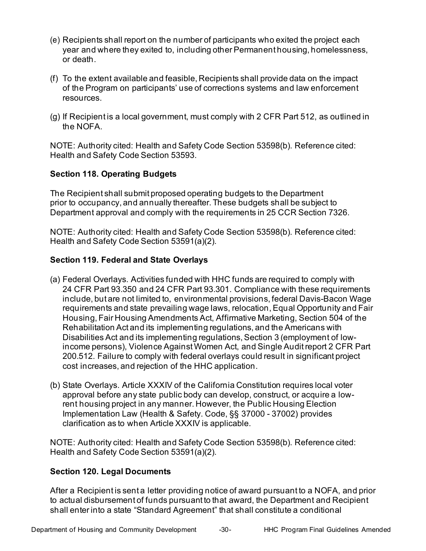- (e) Recipients shall report on the number of participants who exited the project each year and where they exited to, including other Permanent housing, homelessness, or death.
- (f) To the extent available and feasible, Recipients shall provide data on the impact of the Program on participants' use of corrections systems and law enforcement resources.
- (g) If Recipient is a local government, must comply with 2 CFR Part 512, as outlined in the NOFA.

<span id="page-33-0"></span> NOTE: Authority cited: Health and Safety Code Section 53598(b). Reference cited: Health and Safety Code Section 53593.

# **Section 118. Operating Budgets**

 The Recipient shall submit proposed operating budgets to the Department prior to occupancy, and annually thereafter. These budgets shall be subject to Department approval and comply with the requirements in 25 CCR Section 7326.

 NOTE: Authority cited: Health and Safety Code Section 53598(b). Reference cited: Health and Safety Code Section 53591(a)(2).

# <span id="page-33-1"></span> **Section 119. Federal and State Overlays**

- (a) Federal Overlays. Activities funded with HHC funds are required to comply with 24 CFR Part 93.350 and 24 CFR Part 93.301. Compliance with these requirements include, but are not limited to, environmental provisions, federal Davis-Bacon Wage requirements and state prevailing wage laws, relocation, Equal Opportunity and Fair Housing, Fair Housing Amendments Act, Affirmative Marketing, Section 504 of the Rehabilitation Act and its implementing regulations, and the Americans with income persons), Violence Against Women Act, and Single Audit report 2 CFR Part 200.512. Failure to comply with federal overlays could result in significant project cost increases, and rejection of the HHC application. Disabilities Act and its implementing regulations, Section 3 (employment of low-
- (b) State Overlays. Article XXXIV of the California Constitution requires local voter approval before any state public body can develop, construct, or acquire a low- rent housing project in any manner. However, the Public Housing Election Implementation Law (Health & Safety. Code, §§ 37000 - 37002) provides clarification as to when Article XXXIV is applicable.

 NOTE: Authority cited: Health and Safety Code Section 53598(b). Reference cited: Health and Safety Code Section 53591(a)(2).

# <span id="page-33-2"></span>**Section 120. Legal Documents**

 After a Recipient is sent a letter providing notice of award pursuant to a NOFA, and prior to actual disbursement of funds pursuant to that award, the Department and Recipient shall enter into a state "Standard Agreement" that shall constitute a conditional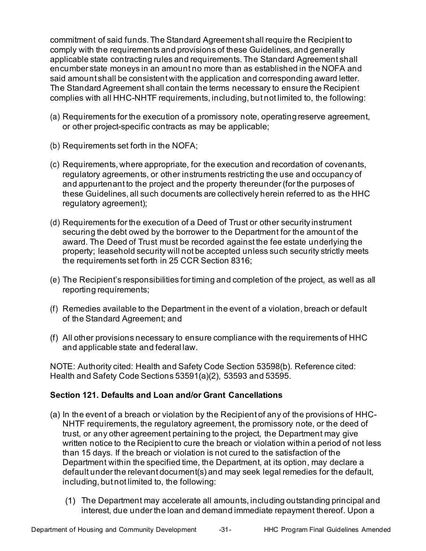commitment of said funds. The Standard Agreement shall require the Recipient to encumber state moneys in an amount no more than as established in the NOFA and said amount shall be consistent with the application and corresponding award letter. The Standard Agreement shall contain the terms necessary to ensure the Recipient complies with all HHC-NHTF requirements, including, but not limited to, the following: comply with the requirements and provisions of these Guidelines, and generally applicable state contracting rules and requirements. The Standard Agreement shall

- (a) Requirements for the execution of a promissory note, operating reserve agreement, or other project-specific contracts as may be applicable;
- (b) Requirements set forth in the NOFA;
- (c) Requirements, where appropriate, for the execution and recordation of covenants, regulatory agreements, or other instruments restricting the use and occupancy of and appurtenant to the project and the property thereunder (for the purposes of these Guidelines, all such documents are collectively herein referred to as the HHC regulatory agreement);
- (d) Requirements for the execution of a Deed of Trust or other security instrument securing the debt owed by the borrower to the Department for the amount of the property; leasehold security will not be accepted unless such security strictly meets the requirements set forth in 25 CCR Section 8316; award. The Deed of Trust must be recorded against the fee estate underlying the
- (e) The Recipient's responsibilities for timing and completion of the project, as well as all reporting requirements;
- of the Standard Agreement; and (f) Remedies available to the Department in the event of a violation, breach or default
- (f) All other provisions necessary to ensure compliance with the requirements of HHC and applicable state and federal law.

 NOTE: Authority cited: Health and Safety Code Section 53598(b). Reference cited: Health and Safety Code Sections 53591(a)(2), 53593 and 53595.

# <span id="page-34-0"></span>**Section 121. Defaults and Loan and/or Grant Cancellations**

- (a) In the event of a breach or violation by the Recipient of any of the provisions of HHC- trust, or any other agreement pertaining to the project, the Department may give written notice to the Recipient to cure the breach or violation within a period of not less than 15 days. If the breach or violation is not cured to the satisfaction of the Department within the specified time, the Department, at its option, may declare a default under the relevant document(s) and may seek legal remedies for the default, including, but not limited to, the following: NHTF requirements, the regulatory agreement, the promissory note, or the deed of
	- interest, due under the loan and demand immediate repayment thereof. Upon a The Department may accelerate all amounts, including outstanding principal and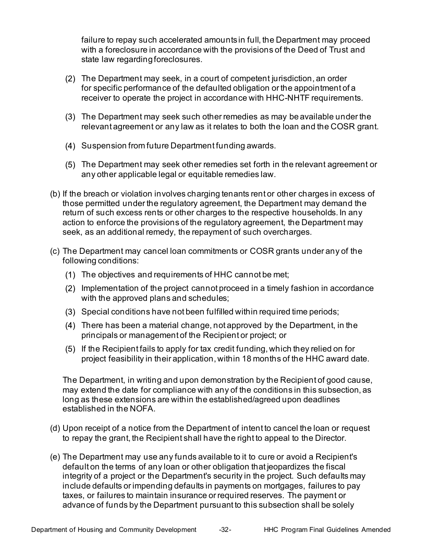failure to repay such accelerated amounts in full, the Department may proceed with a foreclosure in accordance with the provisions of the Deed of Trust and state law regardingforeclosures.

- The Department may seek, in a court of competent jurisdiction, an order for specific performance of the defaulted obligation or the appointment of a receiver to operate the project in accordance with HHC-NHTF requirements.
- The Department may seek such other remedies as may beavailable under the relevant agreement or any law as it relates to both the loan and the COSR grant.
- (4) Suspension from future Department funding awards.
- The Department may seek other remedies set forth in the relevant agreement or any other applicable legal or equitable remedies law.
- (b) If the breach or violation involves charging tenants rent or other charges in excess of return of such excess rents or other charges to the respective households. In any action to enforce the provisions of the regulatory agreement, the Department may seek, as an additional remedy, the repayment of such overcharges. those permitted under the regulatory agreement, the Department may demand the
- (c) The Department may cancel loan commitments or COSR grants under any of the following conditions:
	- The objectives and requirements of HHC cannot be met;
	- Implementation of the project cannot proceed in a timely fashion in accordance with the approved plans and schedules;
	- Special conditions have not been fulfilled within required time periods;
	- There has been a material change, not approved by the Department, in the principals or management of the Recipient or project; or
	- If the Recipient fails to apply for tax credit funding, which they relied on for project feasibility in their application, within 18 months of the HHC award date.

 The Department, in writing and upon demonstration by the Recipient of good cause, may extend the date for compliance with any of the conditions in this subsection, as long as these extensions are within the established/agreed upon deadlines established in the NOFA.

- (d) Upon receipt of a notice from the Department of intent to cancel the loan or request to repay the grant, the Recipient shall have the right to appeal to the Director.
- (e) The Department may use any funds available to it to cure or avoid a Recipient's default on the terms of any loan or other obligation that jeopardizes the fiscal integrity of a project or the Department's security in the project. Such defaults may include defaults or impending defaults in payments on mortgages, failures to pay taxes, or failures to maintain insurance or required reserves. The payment or advance of funds by the Department pursuant to this subsection shall be solely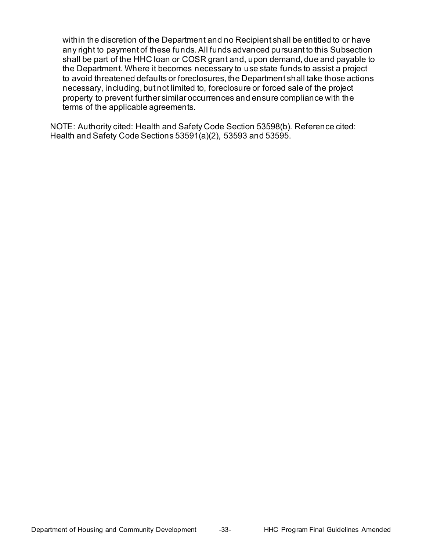within the discretion of the Department and no Recipient shall be entitled to or have any right to payment of these funds. All funds advanced pursuant to this Subsection shall be part of the HHC loan or COSR grant and, upon demand, due and payable to the Department. Where it becomes necessary to use state funds to assist a project to avoid threatened defaults or foreclosures, the Department shall take those actions necessary, including, but not limited to, foreclosure or forced sale of the project property to prevent further similar occurrences and ensure compliance with the terms of the applicable agreements.

 NOTE: Authority cited: Health and Safety Code Section 53598(b). Reference cited: Health and Safety Code Sections 53591(a)(2), 53593 and 53595.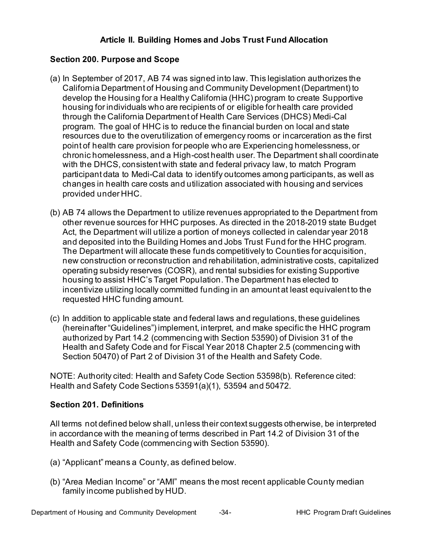# **Article II. Building Homes and Jobs Trust Fund Allocation**

# <span id="page-37-0"></span> **Section 200. Purpose and Scope**

- (a) In September of 2017, AB 74 was signed into law. This legislation authorizes the California Department of Housing and Community Development (Department) to develop the Housing for a Healthy California (HHC) program to create Supportive housing for individuals who are recipients of or eligible for health care provided through the California Department of Health Care Services (DHCS) Medi-Cal program. The goal of HHC is to reduce the financial burden on local and state resources due to the overutilization of emergency rooms or incarceration as the first point of health care provision for people who are Experiencing homelessness, or with the DHCS, consistent with state and federal privacy law, to match Program participant data to Medi-Cal data to identify outcomes among participants, as well as changes in health care costs and utilization associated with housing and services provided under HHC. chronic homelessness, and a High-cost health user. The Department shall coordinate
- other revenue sources for HHC purposes. As directed in the 2018-2019 state Budget Act, the Department will utilize a portion of moneys collected in calendar year 2018 and deposited into the Building Homes and Jobs Trust Fund for the HHC program. new construction or reconstruction and rehabilitation, administrative costs, capitalized operating subsidy reserves (COSR), and rental subsidies for existing Supportive housing to assist HHC's Target Population. The Department has elected to incentivize utilizing locally committed funding in an amount at least equivalent to the requested HHC funding amount. (b) AB 74 allows the Department to utilize revenues appropriated to the Department from The Department will allocate these funds competitively to Counties for acquisition,
- (c) In addition to applicable state and federal laws and regulations, these guidelines (hereinafter "Guidelines") implement, interpret, and make specific the HHC program authorized by Part 14.2 (commencing with Section 53590) of Division 31 of the Section 50470) of Part 2 of Division 31 of the Health and Safety Code. Health and Safety Code and for Fiscal Year 2018 Chapter 2.5 (commencing with

 NOTE: Authority cited: Health and Safety Code Section 53598(b). Reference cited: Health and Safety Code Sections 53591(a)(1), 53594 and 50472.

#### <span id="page-37-1"></span>**Section 201. Definitions**

 All terms not defined below shall, unless their context suggests otherwise, be interpreted in accordance with the meaning of terms described in Part 14.2 of Division 31 of the Health and Safety Code (commencing with Section 53590).

- (a) "Applicant" means a County, as defined below.
- (b) "Area Median Income" or "AMI" means the most recent applicable County median family income published by HUD.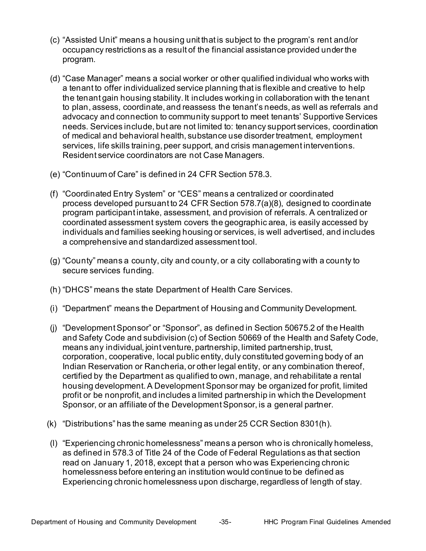- (c) "Assisted Unit" means a housing unit that is subject to the program's rent and/or occupancy restrictions as a result of the financial assistance provided under the program.
- (d) "Case Manager" means a social worker or other qualified individual who works with a tenant to offer individualized service planning that is flexible and creative to help the tenant gain housing stability. It includes working in collaboration with the tenant to plan, assess, coordinate, and reassess the tenant's needs, as well as referrals and advocacy and connection to community support to meet tenants' Supportive Services needs. Services include, but are not limited to: tenancy support services, coordination of medical and behavioral health, substance use disorder treatment, employment services, life skills training, peer support, and crisis management interventions. Resident service coordinators are not Case Managers.
- (e) "Continuum of Care" is defined in 24 CFR Section 578.3.
- (f) "Coordinated Entry System" or "CES" means a centralized or coordinated process developed pursuant to 24 CFR Section 578.7(a)(8), designed to coordinate coordinated assessment system covers the geographic area, is easily accessed by individuals and families seeking housing or services, is well advertised, and includes program participant intake, assessment, and provision of referrals. A centralized or a comprehensive and standardized assessment tool.
- (g) "County" means a county, city and county, or a city collaborating with a county to secure services funding.
- (h) "DHCS" means the state Department of Health Care Services.
- (i) "Department" means the Department of Housing and Community Development.
- (j) "Development Sponsor" or "Sponsor", as defined in Section 50675.2 of the Health and Safety Code and subdivision (c) of Section 50669 of the Health and Safety Code, means any individual, joint venture, partnership, limited partnership, trust, corporation, cooperative, local public entity, duly constituted governing body of an Indian Reservation or Rancheria, or other legal entity, or any combination thereof, certified by the Department as qualified to own, manage, and rehabilitate a rental housing development. A Development Sponsor may be organized for profit, limited profit or be nonprofit, and includes a limited partnership in which the Development Sponsor, or an affiliate of the Development Sponsor, is a general partner.
- (k) "Distributions" has the same meaning as under 25 CCR Section 8301(h).
- (l) "Experiencing chronic homelessness" means a person who is chronically homeless, as defined in 578.3 of Title 24 of the Code of Federal Regulations as that section homelessness before entering an institution would continue to be defined as Experiencing chronic homelessness upon discharge, regardless of length of stay. read on January 1, 2018, except that a person who was Experiencing chronic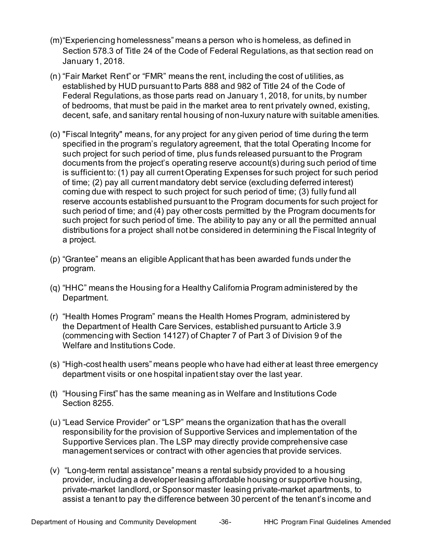- (m)"Experiencing homelessness" means a person who is homeless, as defined in Section 578.3 of Title 24 of the Code of Federal Regulations, as that section read on January 1, 2018.
- (n) "Fair Market Rent" or "FMR" means the rent, including the cost of utilities, as established by HUD pursuant to Parts 888 and 982 of Title 24 of the Code of Federal Regulations, as those parts read on January 1, 2018, for units, by number of bedrooms, that must be paid in the market area to rent privately owned, existing, decent, safe, and sanitary rental housing of non-luxury nature with suitable amenities.
- (o) "Fiscal Integrity" means, for any project for any given period of time during the term specified in the program's regulatory agreement, that the total Operating Income for such project for such period of time, plus funds released pursuant to the Program documents from the project's operating reserve account(s) during such period of time is sufficient to: (1) pay all current Operating Expenses for such project for such period of time; (2) pay all current mandatory debt service (excluding deferred interest) coming due with respect to such project for such period of time; (3) fully fund all reserve accounts established pursuant to the Program documents for such project for such period of time; and (4) pay other costs permitted by the Program documents for such project for such period of time. The ability to pay any or all the permitted annual distributions for a project shall not be considered in determining the Fiscal Integrity of a project.
- (p) "Grantee" means an eligible Applicant that has been awarded funds under the program.
- (q) "HHC" means the Housing for a Healthy California Program administered by the Department.
- the Department of Health Care Services, established pursuant to Article 3.9 (commencing with Section 14127) of Chapter 7 of Part 3 of Division 9 of the (r) "Health Homes Program" means the Health Homes Program, administered by Welfare and Institutions Code.
- (s) "High-cost health users" means people who have had either at least three emergency department visits or one hospital inpatient stay over the last year.
- (t) "Housing First" has the same meaning as in Welfare and Institutions Code Section 8255.
- (u) "Lead Service Provider" or "LSP" means the organization that has the overall responsibility for the provision of Supportive Services and implementation of the management services or contract with other agencies that provide services. Supportive Services plan. The LSP may directly provide comprehensive case
- (v) "Long-term rental assistance" means a rental subsidy provided to a housing private-market landlord, or Sponsor master leasing private-market apartments, to assist a tenant to pay the difference between 30 percent of the tenant's income and provider, including a developer leasing affordable housing or supportive housing,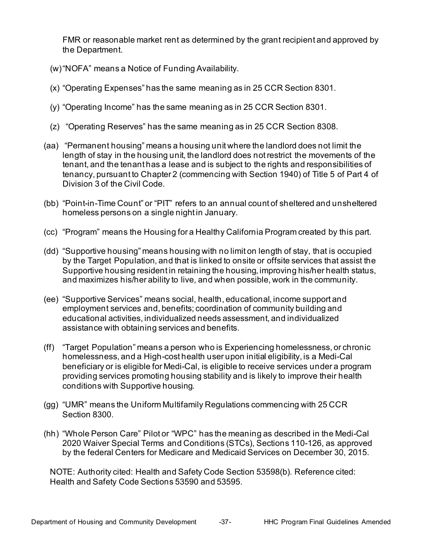FMR or reasonable market rent as determined by the grant recipient and approved by the Department.

- (w)"NOFA" means a Notice of Funding Availability.
- (x) "Operating Expenses" has the same meaning as in 25 CCR Section 8301.
- (y) "Operating Income" has the same meaning as in 25 CCR Section 8301.
- (z) "Operating Reserves" has the same meaning as in 25 CCR Section 8308.
- (aa) "Permanent housing" means a housing unit where the landlord does not limit the length of stay in the housing unit, the landlord does not restrict the movements of the tenant, and the tenant has a lease and is subject to the rights and responsibilities of tenancy, pursuant to Chapter 2 (commencing with Section 1940) of Title 5 of Part 4 of Division 3 of the Civil Code.
- (bb) "Point-in-Time Count" or "PIT" refers to an annual count of sheltered and unsheltered homeless persons on a single night in January.
- (cc) "Program" means the Housing for a Healthy California Program created by this part.
- (dd) "Supportive housing" means housing with no limit on length of stay, that is occupied Supportive housing resident in retaining the housing, improving his/her health status, and maximizes his/her ability to live, and when possible, work in the community. by the Target Population, and that is linked to onsite or offsite services that assist the
- (ee) "Supportive Services" means social, health, educational, income support and employment services and, benefits; coordination of community building and educational activities, individualized needs assessment, and individualized assistance with obtaining services and benefits.
- (ff) "Target Population" means a person who is Experiencing homelessness, or chronic homelessness, and a High-cost health user upon initial eligibility, is a Medi-Cal beneficiary or is eligible for Medi-Cal, is eligible to receive services under a program providing services promoting housing stability and is likely to improve their health conditions with Supportive housing.
- (gg) "UMR" means the Uniform Multifamily Regulations commencing with 25 CCR Section 8300.
- (hh) "Whole Person Care" Pilot or "WPC" has the meaning as described in the Medi-Cal 2020 Waiver Special Terms and Conditions (STCs), Sections 110-126, as approved by the federal Centers for Medicare and Medicaid Services on December 30, 2015.

 NOTE: Authority cited: Health and Safety Code Section 53598(b). Reference cited: Health and Safety Code Sections 53590 and 53595.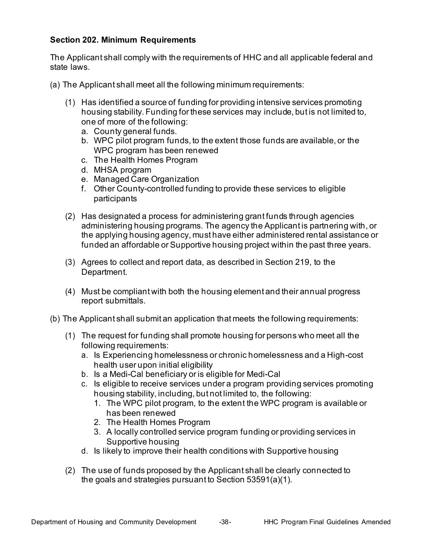# <span id="page-41-0"></span> **Section 202. Minimum Requirements**

 The Applicant shall comply with the requirements of HHC and all applicable federal and state laws.

- (a) The Applicant shall meet all the following minimum requirements:
	- (1) Has identified a source of funding for providing intensive services promoting housing stability. Funding for these services may include, but is not limited to, one of more of the following:
		- a. County general funds.
		- b. WPC pilot program funds, to the extent those funds are available, or the WPC program has been renewed
		- c. The Health Homes Program
		- d. MHSA program
		- e. Managed Care Organization
		- f. Other County-controlled funding to provide these services to eligible participants
	- (2) Has designated a process for administering grant funds through agencies administering housing programs. The agency the Applicant is partnering with, or the applying housing agency, must have either administered rental assistance or funded an affordable or Supportive housing project within the past three years.
	- (3) Agrees to collect and report data, as described in Section 219, to the Department.
	- (4) Must be compliant with both the housing element and their annual progress report submittals.
- (b) The Applicant shall submit an application that meets the following requirements:
	- (1) The request for funding shall promote housing for persons who meet all the following requirements:
		- health user upon initial eligibility a. Is Experiencing homelessness or chronic homelessness and a High-cost
		- b. Is a Medi-Cal beneficiary or is eligible for Medi-Cal
		- c. Is eligible to receive services under a program providing services promoting housing stability, including, but not limited to, the following:
			- has been renewed 1. The WPC pilot program, to the extent the WPC program is available or
			- 2. The Health Homes Program
			- 3. A locally controlled service program funding or providing services in Supportive housing
		- d. Is likely to improve their health conditions with Supportive housing
	- (2) The use of funds proposed by the Applicant shall be clearly connected to the goals and strategies pursuant to Section 53591(a)(1).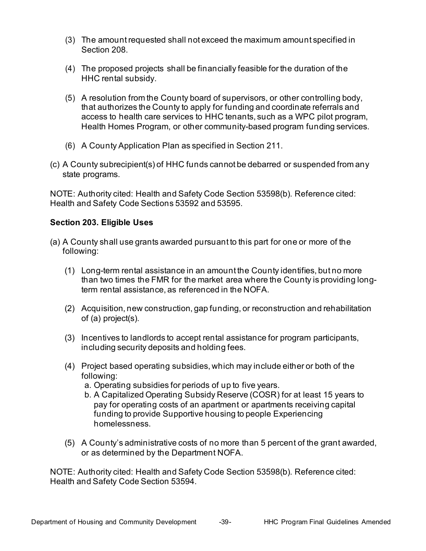- (3) The amount requested shall not exceed the maximum amount specified in Section 208.
- (4) The proposed projects shall be financially feasible for the duration of the HHC rental subsidy.
- (5) A resolution from the County board of supervisors, or other controlling body, access to health care services to HHC tenants, such as a WPC pilot program, Health Homes Program, or other community-based program funding services. that authorizes the County to apply for funding and coordinate referrals and
- (6) A County Application Plan as specified in Section 211.
- (c) A County subrecipient(s) of HHC funds cannot be debarred or suspended from any state programs.

 NOTE: Authority cited: Health and Safety Code Section 53598(b). Reference cited: Health and Safety Code Sections 53592 and 53595.

#### <span id="page-42-0"></span> **Section 203. Eligible Uses**

- (a) A County shall use grants awarded pursuant to this part for one or more of the following:
	- (1) Long-term rental assistance in an amount the County identifies, but no more than two times the FMR for the market area where the County is providing long-term rental assistance, as referenced in the NOFA.
	- (2) Acquisition, new construction, gap funding, or reconstruction and rehabilitation of (a) project(s).
	- (3) Incentives to landlords to accept rental assistance for program participants, including security deposits and holding fees.
	- (4) Project based operating subsidies, which may include either or both of the following:
		- a. Operating subsidies for periods of up to five years.
		- b. A Capitalized Operating Subsidy Reserve (COSR) for at least 15 years to pay for operating costs of an apartment or apartments receiving capital funding to provide Supportive housing to people Experiencing homelessness.
	- (5) A County's administrative costs of no more than 5 percent of the grant awarded, or as determined by the Department NOFA.

 NOTE: Authority cited: Health and Safety Code Section 53598(b). Reference cited: Health and Safety Code Section 53594.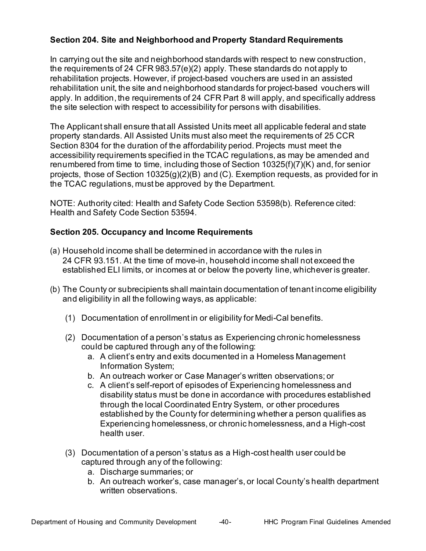# <span id="page-43-0"></span> **Section 204. Site and Neighborhood and Property Standard Requirements**

 In carrying out the site and neighborhood standards with respect to new construction, the requirements of 24 CFR 983.57(e)(2) apply. These standards do not apply to rehabilitation projects. However, if project-based vouchers are used in an assisted rehabilitation unit, the site and neighborhood standards for project-based vouchers will apply. In addition, the requirements of 24 CFR Part 8 will apply, and specifically address the site selection with respect to accessibility for persons with disabilities.

 The Applicant shall ensure that all Assisted Units meet all applicable federal and state property standards. All Assisted Units must also meet the requirements of 25 CCR Section 8304 for the duration of the affordability period. Projects must meet the accessibility requirements specified in the TCAC regulations, as may be amended and renumbered from time to time, including those of Section 10325(f)(7)(K) and, for senior projects, those of Section 10325(g)(2)(B) and (C). Exemption requests, as provided for in the TCAC regulations, must be approved by the Department.

 NOTE: Authority cited: Health and Safety Code Section 53598(b). Reference cited: Health and Safety Code Section 53594.

# <span id="page-43-1"></span>**Section 205. Occupancy and Income Requirements**

- (a) Household income shall be determined in accordance with the rules in 24 CFR 93.151. At the time of move-in, household income shall not exceed the established ELI limits, or incomes at or below the poverty line, whichever is greater.
- (b) The County or subrecipients shall maintain documentation of tenant income eligibility and eligibility in all the following ways, as applicable:
	- (1) Documentation of enrollment in or eligibility for Medi-Cal benefits.
	- (2) Documentation of a person's status as Experiencing chronic homelessness could be captured through any of the following:
		- a. A client's entry and exits documented in a Homeless Management Information System;
		- b. An outreach worker or Case Manager's written observations; or
		- c. A client's self-report of episodes of Experiencing homelessness and disability status must be done in accordance with procedures established through the local Coordinated Entry System, or other procedures established by the County for determining whether a person qualifies as Experiencing homelessness, or chronic homelessness, and a High-cost health user.
	- (3) Documentation of a person's status as a High-cost health user could be captured through any of the following:
		- a. Discharge summaries; or
		- b. An outreach worker's, case manager's, or local County's health department written observations.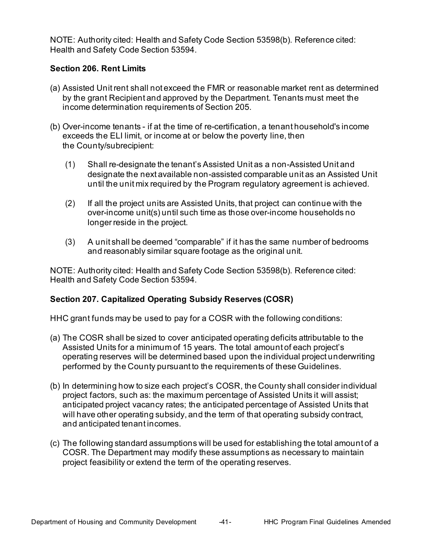NOTE: Authority cited: Health and Safety Code Section 53598(b). Reference cited: Health and Safety Code Section 53594.

#### <span id="page-44-0"></span>**Section 206. Rent Limits**

- (a) Assisted Unit rent shall not exceed the FMR or reasonable market rent as determined by the grant Recipient and approved by the Department. Tenants must meet the income determination requirements of Section 205.
- (b) Over-income tenants if at the time of re-certification, a tenant household's income exceeds the ELI limit, or income at or below the poverty line, then the County/subrecipient:
	- (1) Shall re-designate the tenant's Assisted Unit as a non-Assisted Unit and designate the next available non-assisted comparable unit as an Assisted Unit until the unit mix required by the Program regulatory agreement is achieved.
	- (2) If all the project units are Assisted Units, that project can continue with the over-income unit(s) until such time as those over-income households no longer reside in the project.
	- (3) A unit shall be deemed "comparable" if it has the same number of bedrooms and reasonably similar square footage as the original unit.

 NOTE: Authority cited: Health and Safety Code Section 53598(b). Reference cited: Health and Safety Code Section 53594.

# <span id="page-44-1"></span> **Section 207. Capitalized Operating Subsidy Reserves (COSR)**

HHC grant funds may be used to pay for a COSR with the following conditions:

- (a) The COSR shall be sized to cover anticipated operating deficits attributable to the Assisted Units for a minimum of 15 years. The total amount of each project's operating reserves will be determined based upon the individual project underwriting performed by the County pursuant to the requirements of these Guidelines.
- (b) In determining how to size each project's COSR, the County shall consider individual project factors, such as: the maximum percentage of Assisted Units it will assist; anticipated project vacancy rates; the anticipated percentage of Assisted Units that will have other operating subsidy, and the term of that operating subsidy contract, and anticipated tenant incomes.
- (c) The following standard assumptions will be used for establishing the total amount of a COSR. The Department may modify these assumptions as necessary to maintain project feasibility or extend the term of the operating reserves.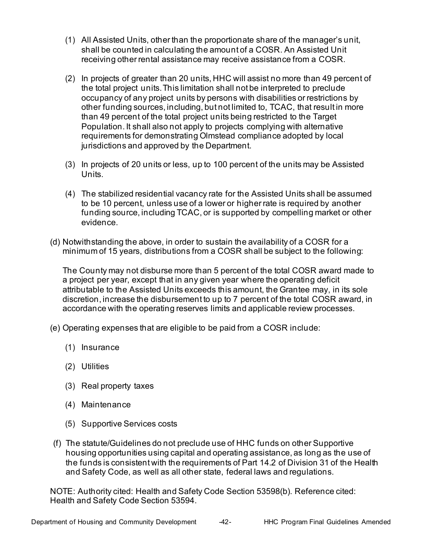- (1) All Assisted Units, other than the proportionate share of the manager's unit, shall be counted in calculating the amount of a COSR. An Assisted Unit receiving other rental assistance may receive assistance from a COSR.
- (2) In projects of greater than 20 units, HHC will assist no more than 49 percent of the total project units.This limitation shall not be interpreted to preclude occupancy of any project units by persons with disabilities or restrictions by other funding sources, including, but not limited to, TCAC, that result in more than 49 percent of the total project units being restricted to the Target Population. It shall also not apply to projects complying with alternative requirements for demonstrating Olmstead compliance adopted by local jurisdictions and approved by the Department.
- (3) In projects of 20 units or less, up to 100 percent of the units may be Assisted Units.
- (4) The stabilized residential vacancy rate for the Assisted Units shall be assumed to be 10 percent, unless use of a lower or higher rate is required by another funding source, including TCAC, or is supported by compelling market or other evidence.
- (d) Notwithstanding the above, in order to sustain the availability of a COSR for a minimum of 15 years, distributions from a COSR shall be subject to the following:

 a project per year, except that in any given year where the operating deficit attributable to the Assisted Units exceeds this amount, the Grantee may, in its sole discretion, increase the disbursement to up to 7 percent of the total COSR award, in accordance with the operating reserves limits and applicable review processes. The County may not disburse more than 5 percent of the total COSR award made to

- (e) Operating expenses that are eligible to be paid from a COSR include:
	- (1) Insurance
	- (2) Utilities
	- (3) Real property taxes
	- (4) Maintenance
	- (5) Supportive Services costs
- (f) The statute/Guidelines do not preclude use of HHC funds on other Supportive housing opportunities using capital and operating assistance, as long as the use of the funds is consistent with the requirements of Part 14.2 of Division 31 of the Health and Safety Code, as well as all other state, federal laws and regulations.

 NOTE: Authority cited: Health and Safety Code Section 53598(b). Reference cited: Health and Safety Code Section 53594.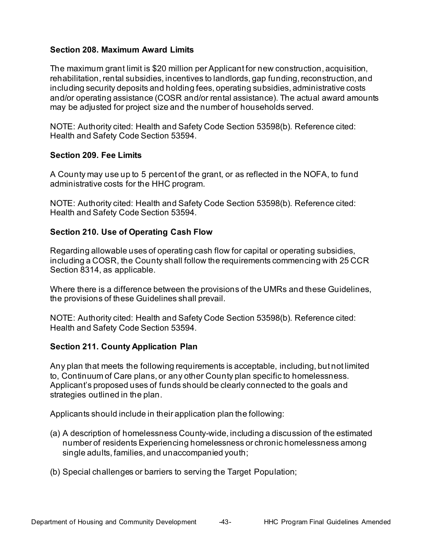#### <span id="page-46-0"></span>**Section 208. Maximum Award Limits**

 The maximum grant limit is \$20 million per Applicant for new construction, acquisition, rehabilitation, rental subsidies, incentives to landlords, gap funding, reconstruction, and including security deposits and holding fees, operating subsidies, administrative costs and/or operating assistance (COSR and/or rental assistance). The actual award amounts may be adjusted for project size and the number of households served.

 NOTE: Authority cited: Health and Safety Code Section 53598(b). Reference cited: Health and Safety Code Section 53594.

# <span id="page-46-1"></span> **Section 209. Fee Limits**

A County may use up to 5 percent of the grant, or as reflected in the NOFA, to fund administrative costs for the HHC program.

 NOTE: Authority cited: Health and Safety Code Section 53598(b). Reference cited: Health and Safety Code Section 53594.

#### <span id="page-46-2"></span>**Section 210. Use of Operating Cash Flow**

 Regarding allowable uses of operating cash flow for capital or operating subsidies, including a COSR, the County shall follow the requirements commencing with 25 CCR Section 8314, as applicable.

 Where there is a difference between the provisions of the UMRs and these Guidelines, the provisions of these Guidelines shall prevail.

 NOTE: Authority cited: Health and Safety Code Section 53598(b). Reference cited: Health and Safety Code Section 53594.

#### <span id="page-46-3"></span> **Section 211. County Application Plan**

 Any plan that meets the following requirements is acceptable, including, but not limited to, Continuum of Care plans, or any other County plan specific to homelessness. Applicant's proposed uses of funds should be clearly connected to the goals and strategies outlined in the plan.

Applicants should include in their application plan the following:

- number of residents Experiencing homelessness or chronic homelessness among single adults, families, and unaccompanied youth; (a) A description of homelessness County-wide, including a discussion of the estimated
- (b) Special challenges or barriers to serving the Target Population;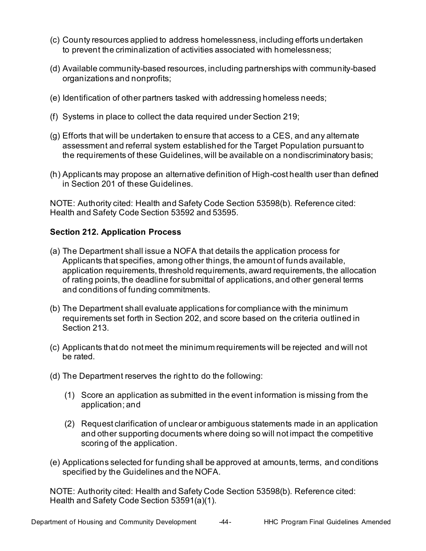- (c) County resources applied to address homelessness, including efforts undertaken to prevent the criminalization of activities associated with homelessness;
- (d) Available community-based resources, including partnerships with community-based organizations and nonprofits;
- (e) Identification of other partners tasked with addressing homeless needs;
- (f) Systems in place to collect the data required under Section 219;
- (g) Efforts that will be undertaken to ensure that access to a CES, and any alternate assessment and referral system established for the Target Population pursuant to the requirements of these Guidelines, will be available on a nondiscriminatory basis;
- (h) Applicants may propose an alternative definition of High-cost health user than defined in Section 201 of these Guidelines.

 NOTE: Authority cited: Health and Safety Code Section 53598(b). Reference cited: Health and Safety Code Section 53592 and 53595.

# <span id="page-47-0"></span>**Section 212. Application Process**

- (a) The Department shall issue a NOFA that details the application process for Applicants that specifies, among other things, the amount of funds available, application requirements, threshold requirements, award requirements, the allocation of rating points, the deadline for submittal of applications, and other general terms and conditions of funding commitments.
- requirements set forth in Section 202, and score based on the criteria outlined in (b) The Department shall evaluate applications for compliance with the minimum Section 213.
- (c) Applicants that do not meet the minimum requirements will be rejected and will not be rated.
- (d) The Department reserves the right to do the following:
	- (1) Score an application as submitted in the event information is missing from the application; and
	- (2) Request clarification of unclear or ambiguous statements made in an application and other supporting documents where doing so will not impact the competitive scoring of the application.
- (e) Applications selected for funding shall be approved at amounts, terms, and conditions specified by the Guidelines and the NOFA.

 NOTE: Authority cited: Health and Safety Code Section 53598(b). Reference cited: Health and Safety Code Section 53591(a)(1).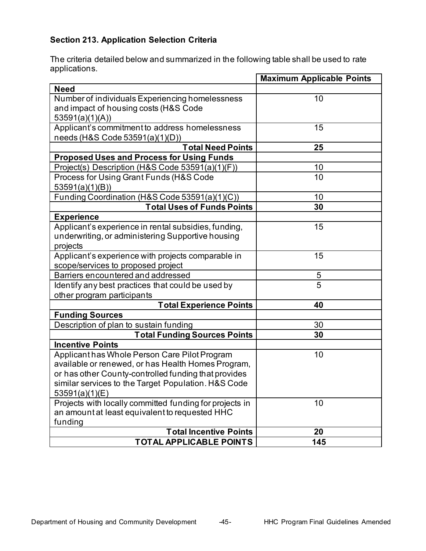# <span id="page-48-0"></span> **Section 213. Application Selection Criteria**

The criteria detailed below and summarized in the following table shall be used to rate applications.

|                                                         | <b>Maximum Applicable Points</b> |
|---------------------------------------------------------|----------------------------------|
| <b>Need</b>                                             |                                  |
| Number of individuals Experiencing homelessness         | 10                               |
| and impact of housing costs (H&S Code                   |                                  |
| 53591(a)(1)(A))                                         |                                  |
| Applicant's commitment to address homelessness          | 15                               |
| needs (H&S Code 53591(a)(1)(D))                         |                                  |
| <b>Total Need Points</b>                                | 25                               |
| <b>Proposed Uses and Process for Using Funds</b>        |                                  |
| Project(s) Description (H&S Code 53591(a)(1)(F))        | 10                               |
| Process for Using Grant Funds (H&S Code                 | 10                               |
| 53591(a)(1)(B))                                         |                                  |
| Funding Coordination (H&S Code 53591(a)(1)(C))          | 10                               |
| <b>Total Uses of Funds Points</b>                       | 30                               |
| <b>Experience</b>                                       |                                  |
| Applicant's experience in rental subsidies, funding,    | 15                               |
| underwriting, or administering Supportive housing       |                                  |
| projects                                                |                                  |
| Applicant's experience with projects comparable in      | 15                               |
| scope/services to proposed project                      |                                  |
| Barriers encountered and addressed                      | $\frac{5}{5}$                    |
| Identify any best practices that could be used by       |                                  |
| other program participants                              |                                  |
| <b>Total Experience Points</b>                          | 40                               |
| <b>Funding Sources</b>                                  |                                  |
| Description of plan to sustain funding                  | 30                               |
| <b>Total Funding Sources Points</b>                     | 30                               |
| <b>Incentive Points</b>                                 |                                  |
| Applicant has Whole Person Care Pilot Program           | 10                               |
| available or renewed, or has Health Homes Program,      |                                  |
| or has other County-controlled funding that provides    |                                  |
| similar services to the Target Population. H&S Code     |                                  |
| 53591(a)(1)(E)                                          |                                  |
| Projects with locally committed funding for projects in | 10                               |
| an amount at least equivalent to requested HHC          |                                  |
| funding                                                 |                                  |
| <b>Total Incentive Points</b>                           | 20                               |
| TOTAL APPLICABLE POINTS                                 | 145                              |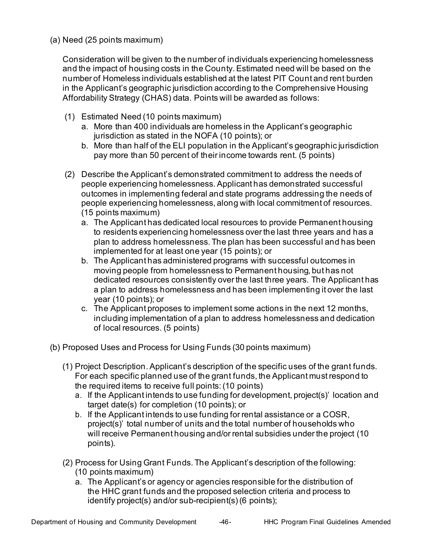(a) Need (25 points maximum)

 Consideration will be given to the number of individuals experiencing homelessness number of Homeless individuals established at the latest PIT Count and rent burden Affordability Strategy (CHAS) data. Points will be awarded as follows: and the impact of housing costs in the County. Estimated need will be based on the in the Applicant's geographic jurisdiction according to the Comprehensive Housing

- (1) Estimated Need (10 points maximum)
	- jurisdiction as stated in the NOFA (10 points); or a. More than 400 individuals are homeless in the Applicant's geographic
	- b. More than half of the ELI population in the Applicant's geographic jurisdiction pay more than 50 percent of their income towards rent. (5 points)
- (2) Describe the Applicant's demonstrated commitment to address the needs of outcomes in implementing federal and state programs addressing the needs of people experiencing homelessness, along with local commitment of resources. people experiencing homelessness. Applicant has demonstrated successful (15 points maximum)
	- a. The Applicant has dedicated local resources to provide Permanent housing to residents experiencing homelessness over the last three years and has a plan to address homelessness. The plan has been successful and has been implemented for at least one year (15 points); or
	- b. The Applicant has administered programs with successful outcomes in moving people from homelessness to Permanent housing, but has not dedicated resources consistently over the last three years. The Applicant has a plan to address homelessness and has been implementing it over the last year (10 points); or
	- c. The Applicant proposes to implement some actions in the next 12 months, including implementation of a plan to address homelessness and dedication of local resources. (5 points)
- (b) Proposed Uses and Process for Using Funds (30 points maximum)
	- (1) Project Description. Applicant's description of the specific uses of the grant funds. For each specific planned use of the grant funds, the Applicant must respond to the required items to receive full points: (10 points)
		- a. If the Applicant intends to use funding for development, project(s)' location and target date(s) for completion (10 points); or
		- b. If the Applicant intends to use funding for rental assistance or a COSR, project(s)' total number of units and the total number of households who will receive Permanent housing and/or rental subsidies under the project (10 points).
	- (2) Process for Using Grant Funds. The Applicant's description of the following: (10 points maximum)
		- a. The Applicant's or agency or agencies responsible for the distribution of the HHC grant funds and the proposed selection criteria and process to identify project(s) and/or sub-recipient(s)(6 points);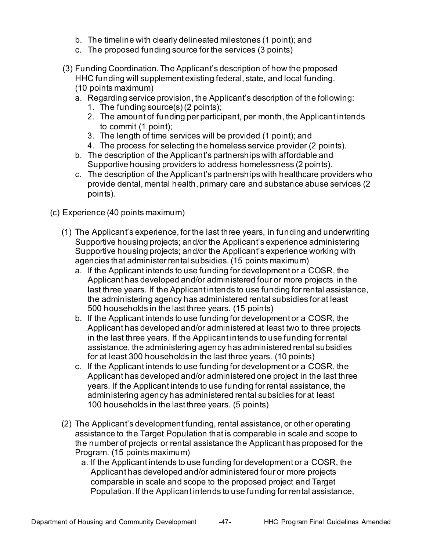- b. The timeline with clearly delineated milestones (1 point); and
- c. The proposed funding source for the services (3 points)
- (3) Funding Coordination. The Applicant's description of how the proposed HHC funding will supplement existing federal, state, and local funding. (10 points maximum)
	- a. Regarding service provision, the Applicant's description of the following:
		- 1. The funding source(s) (2 points);
		- 2. The amount of funding per participant, per month, the Applicant intends to commit (1 point);
		- 3. The length of time services will be provided (1 point); and
		- 4. The process for selecting the homeless service provider (2 points).
	- b. The description of the Applicant's partnerships with affordable and Supportive housing providers to address homelessness (2 points).
	- c. The description of the Applicant's partnerships with healthcare providers who provide dental, mental health, primary care and substance abuse services (2 points).
- (c) Experience (40 points maximum)
	- (1) The Applicant's experience, for the last three years, in funding and underwriting Supportive housing projects; and/or the Applicant's experience administering Supportive housing projects; and/or the Applicant's experience working with agencies that administer rental subsidies.(15 points maximum)
		- a. If the Applicant intends to use funding for development or a COSR, the Applicant has developed and/or administered four or more projects in the last three years. If the Applicant intends to use funding for rental assistance, the administering agency has administered rental subsidies for at least 500 households in the last three years. (15 points)
		- b. If the Applicant intends to use funding for development or a COSR, the Applicant has developed and/or administered at least two to three projects in the last three years. If the Applicant intends to use funding for rental assistance, the administering agency has administered rental subsidies for at least 300 households in the last three years. (10 points)
		- c. If the Applicant intends to use funding for development or a COSR, the Applicant has developed and/or administered one project in the last three years. If the Applicant intends to use funding for rental assistance, the administering agency has administered rental subsidies for at least 100 households in the last three years. (5 points)
	- (2) The Applicant's development funding, rental assistance, or other operating assistance to the Target Population that is comparable in scale and scope to the number of projects or rental assistance the Applicant has proposed for the Program. (15 points maximum)
		- a. If the Applicant intends to use funding for development or a COSR, the Applicant has developed and/or administered four or more projects comparable in scale and scope to the proposed project and Target Population. If the Applicant intends to use funding for rental assistance,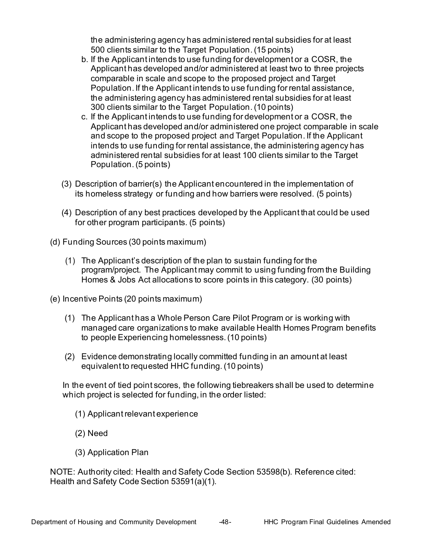the administering agency has administered rental subsidies for at least 500 clients similar to the Target Population. (15 points)

- b. If the Applicant intends to use funding for development or a COSR, the Applicant has developed and/or administered at least two to three projects comparable in scale and scope to the proposed project and Target Population. If the Applicant intends to use funding for rental assistance, the administering agency has administered rental subsidies for at least 300 clients similar to the Target Population. (10 points)
- c. If the Applicant intends to use funding for development or a COSR, the Applicant has developed and/or administered one project comparable in scale and scope to the proposed project and Target Population. If the Applicant intends to use funding for rental assistance, the administering agency has administered rental subsidies for at least 100 clients similar to the Target Population. (5 points)
- (3) Description of barrier(s) the Applicant encountered in the implementation of its homeless strategy or funding and how barriers were resolved. (5 points)
- (4) Description of any best practices developed by the Applicant that could be used for other program participants. (5 points)
- (d) Funding Sources (30 points maximum)
	- (1) The Applicant's description of the plan to sustain funding for the program/project. The Applicant may commit to using funding from the Building Homes & Jobs Act allocations to score points in this category. (30 points)
- (e) Incentive Points (20 points maximum)
	- (1) The Applicant has a Whole Person Care Pilot Program or is working with managed care organizations to make available Health Homes Program benefits to people Experiencing homelessness. (10 points)
	- (2) Evidence demonstrating locally committed funding in an amount at least equivalent to requested HHC funding. (10 points)

 In the event of tied point scores, the following tiebreakers shall be used to determine which project is selected for funding, in the order listed:

- (1) Applicant relevant experience
- (2) Need
- (3) Application Plan

 NOTE: Authority cited: Health and Safety Code Section 53598(b). Reference cited: Health and Safety Code Section 53591(a)(1).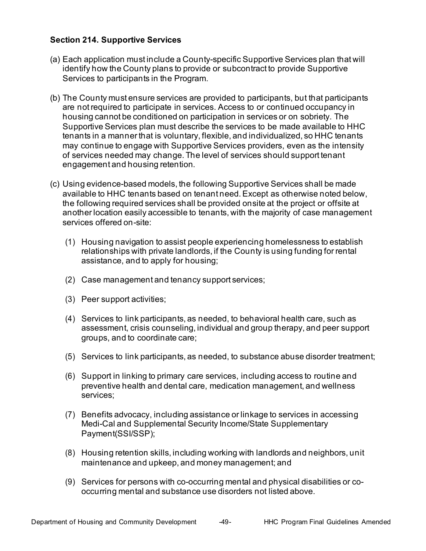#### <span id="page-52-0"></span>**Section 214. Supportive Services**

- (a) Each application must include a County-specific Supportive Services plan that will identify how the County plans to provide or subcontract to provide Supportive Services to participants in the Program.
- are not required to participate in services. Access to or continued occupancy in housing cannot be conditioned on participation in services or on sobriety. The tenants in a manner that is voluntary, flexible, and individualized, so HHC tenants may continue to engage with Supportive Services providers, even as the intensity of services needed may change. The level of services should support tenant (b) The County must ensure services are provided to participants, but that participants Supportive Services plan must describe the services to be made available to HHC engagement and housing retention.
- (c) Using evidence-based models, the following Supportive Services shall be made available to HHC tenants based on tenant need. Except as otherwise noted below, the following required services shall be provided onsite at the project or offsite at another location easily accessible to tenants, with the majority of case management services offered on-site:
	- (1) Housing navigation to assist people experiencing homelessness to establish relationships with private landlords, if the County is using funding for rental assistance, and to apply for housing;
	- (2) Case management and tenancy support services;
	- (3) Peer support activities;
	- (4) Services to link participants, as needed, to behavioral health care, such as assessment, crisis counseling, individual and group therapy, and peer support groups, and to coordinate care;
	- (5) Services to link participants, as needed, to substance abuse disorder treatment;
	- (6) Support in linking to primary care services, including access to routine and preventive health and dental care, medication management, and wellness services;
	- (7) Benefits advocacy, including assistance or linkage to services in accessing Medi-Cal and Supplemental Security Income/State Supplementary Payment(SSI/SSP);
	- (8) Housing retention skills, including working with landlords and neighbors, unit maintenance and upkeep, and money management; and
	- (9) Services for persons with co-occurring mental and physical disabilities or co-occurring mental and substance use disorders not listed above.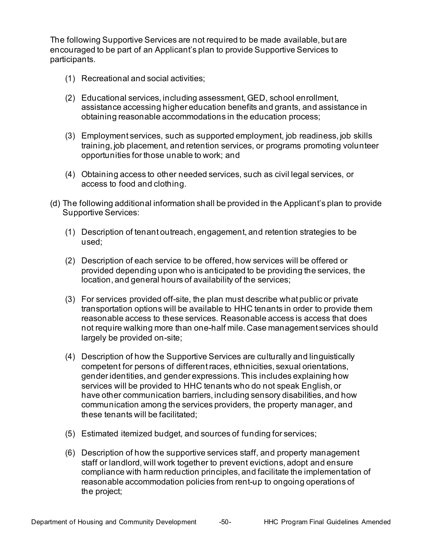The following Supportive Services are not required to be made available, but are encouraged to be part of an Applicant's plan to provide Supportive Services to participants.

- (1) Recreational and social activities;
- (2) Educational services, including assessment, GED, school enrollment, assistance accessing higher education benefits and grants, and assistance in obtaining reasonable accommodations in the education process;
- (3) Employment services, such as supported employment, job readiness, job skills training, job placement, and retention services, or programs promoting volunteer opportunities for those unable to work; and
- (4) Obtaining access to other needed services, such as civil legal services, or access to food and clothing.
- (d) The following additional information shall be provided in the Applicant's plan to provide Supportive Services:
	- (1) Description of tenant outreach, engagement, and retention strategies to be used;
	- (2) Description of each service to be offered, how services will be offered or provided depending upon who is anticipated to be providing the services, the location, and general hours of availability of the services;
	- (3) For services provided off-site, the plan must describe what public or private transportation options will be available to HHC tenants in order to provide them reasonable access to these services. Reasonable access is access that does not require walking more than one-half mile. Case management services should largely be provided on-site;
	- (4) Description of how the Supportive Services are culturally and linguistically competent for persons of different races, ethnicities, sexual orientations, gender identities, and gender expressions. This includes explaining how services will be provided to HHC tenants who do not speak English, or have other communication barriers, including sensory disabilities, and how communication among the services providers, the property manager, and these tenants will be facilitated;
	- (5) Estimated itemized budget, and sources of funding for services;
	- (6) Description of how the supportive services staff, and property management staff or landlord, will work together to prevent evictions, adopt and ensure compliance with harm reduction principles, and facilitate the implementation of reasonable accommodation policies from rent-up to ongoing operations of the project;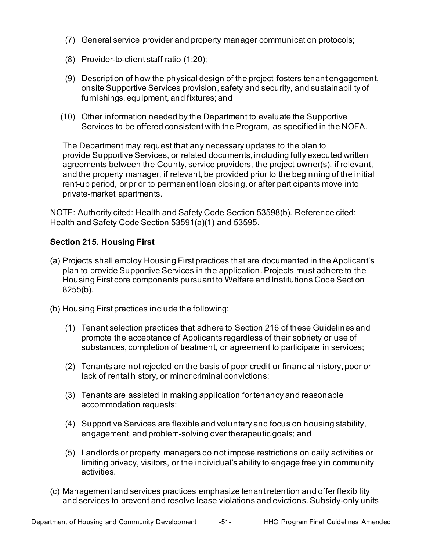- (7) General service provider and property manager communication protocols;
- (8) Provider-to-client staff ratio (1:20);
- (9) Description of how the physical design of the project fosters tenant engagement, onsite Supportive Services provision, safety and security, and sustainability of furnishings, equipment, and fixtures; and
- (10) Other information needed by the Department to evaluate the Supportive Services to be offered consistent with the Program, as specified in the NOFA.

 The Department may request that any necessary updates to the plan to agreements between the County, service providers, the project owner(s), if relevant, and the property manager, if relevant, be provided prior to the beginning of the initial rent-up period, or prior to permanent loan closing, or after participants move into provide Supportive Services, or related documents, including fully executed written private-market apartments.

 NOTE: Authority cited: Health and Safety Code Section 53598(b). Reference cited: Health and Safety Code Section 53591(a)(1) and 53595.

#### <span id="page-54-0"></span>**Section 215. Housing First**

- (a) Projects shall employ Housing First practices that are documented in the Applicant's Housing First core components pursuant to Welfare and Institutions Code Section plan to provide Supportive Services in the application. Projects must adhere to the 8255(b).
- (b) Housing First practices include the following:
	- (1) Tenant selection practices that adhere to Section 216 of these Guidelines and promote the acceptance of Applicants regardless of their sobriety or use of substances, completion of treatment, or agreement to participate in services;
	- (2) Tenants are not rejected on the basis of poor credit or financial history, poor or lack of rental history, or minor criminal convictions;
	- (3) Tenants are assisted in making application for tenancy and reasonable accommodation requests;
	- (4) Supportive Services are flexible and voluntary and focus on housing stability, engagement, and problem-solving over therapeutic goals; and
	- (5) Landlords or property managers do not impose restrictions on daily activities or limiting privacy, visitors, or the individual's ability to engage freely in community activities.
- (c) Management and services practices emphasize tenant retention and offer flexibility and services to prevent and resolve lease violations and evictions. Subsidy-only units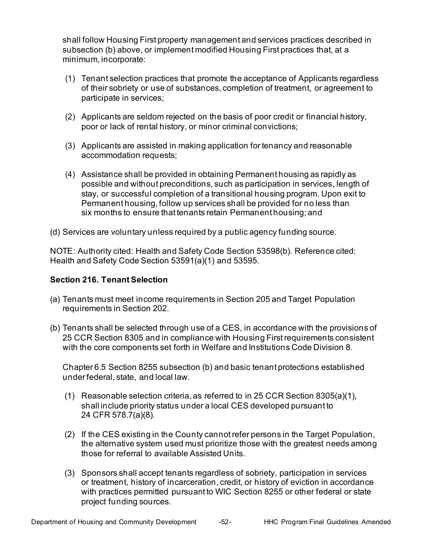shall follow Housing First property management and services practices described in subsection (b) above, or implement modified Housing First practices that, at a minimum, incorporate:

- (1) Tenant selection practices that promote the acceptance of Applicants regardless of their sobriety or use of substances, completion of treatment, or agreement to participate in services;
- (2) Applicants are seldom rejected on the basis of poor credit or financial history, poor or lack of rental history, or minor criminal convictions;
- (3) Applicants are assisted in making application for tenancy and reasonable accommodation requests;
- (4) Assistance shall be provided in obtaining Permanent housing as rapidly as possible and without preconditions, such as participation in services, length of stay, or successful completion of a transitional housing program. Upon exit to Permanent housing, follow up services shall be provided for no less than six months to ensure that tenants retain Permanent housing; and

(d) Services are voluntary unless required by a public agency funding source.

 NOTE: Authority cited: Health and Safety Code Section 53598(b). Reference cited: Health and Safety Code Section 53591(a)(1) and 53595.

# <span id="page-55-0"></span> **Section 216. Tenant Selection**

- (a) Tenants must meet income requirements in Section 205 and Target Population requirements in Section 202.
- (b) Tenants shall be selected through use of a CES, in accordance with the provisions of 25 CCR Section 8305 and in compliance with Housing First requirements consistent with the core components set forth in Welfare and Institutions Code Division 8.

 Chapter 6.5 Section 8255 subsection (b) and basic tenant protections established under federal, state, and local law.

- (1) Reasonable selection criteria, as referred to in 25 CCR Section 8305(a)(1), shall include priority status under a local CES developed pursuant to 24 CFR 578.7(a)(8).
- (2) If the CES existing in the County cannot refer persons in the Target Population, the alternative system used must prioritize those with the greatest needs among those for referral to available Assisted Units.
- (3) Sponsors shall accept tenants regardless of sobriety, participation in services or treatment, history of incarceration, credit, or history of eviction in accordance with practices permitted pursuant to WIC Section 8255 or other federal or state project funding sources.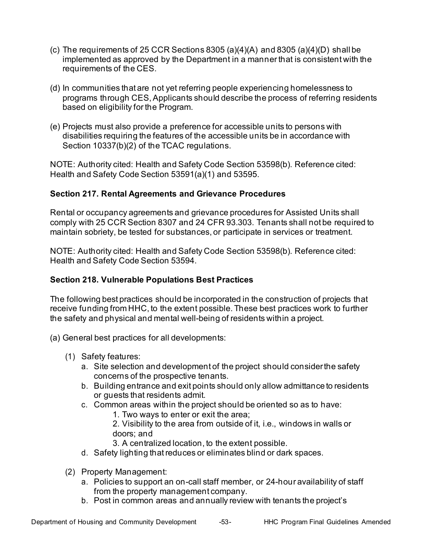- (c) The requirements of 25 CCR Sections 8305 (a)(4)(A) and 8305 (a)(4)(D) shall be implemented as approved by the Department in a manner that is consistent with the requirements of the CES.
- (d) In communities that are not yet referring people experiencing homelessness to programs through CES, Applicants should describe the process of referring residents based on eligibility for the Program.
- (e) Projects must also provide a preference for accessible units to persons with disabilities requiring the features of the accessible units be in accordance with Section 10337(b)(2) of the TCAC regulations.

 NOTE: Authority cited: Health and Safety Code Section 53598(b). Reference cited: Health and Safety Code Section 53591(a)(1) and 53595.

# <span id="page-56-0"></span>**Section 217. Rental Agreements and Grievance Procedures**

 Rental or occupancy agreements and grievance procedures for Assisted Units shall comply with 25 CCR Section 8307 and 24 CFR 93.303. Tenants shall not be required to maintain sobriety, be tested for substances, or participate in services or treatment.

 NOTE: Authority cited: Health and Safety Code Section 53598(b). Reference cited: Health and Safety Code Section 53594.

# <span id="page-56-1"></span>**Section 218. Vulnerable Populations Best Practices**

 The following best practices should be incorporated in the construction of projects that receive funding from HHC, to the extent possible. These best practices work to further the safety and physical and mental well-being of residents within a project.

- (a) General best practices for all developments:
	- (1) Safety features:
		- a. Site selection and development of the project should considerthe safety concerns of the prospective tenants.
		- b. Building entrance and exit points should only allow admittance to residents or guests that residents admit.
		- c. Common areas within the project should be oriented so as to have:
			- 1. Two ways to enter or exit the area;

 2. Visibility to the area from outside of it, i.e., windows in walls or doors; and

- 3. A centralized location, to the extent possible.
- d. Safety lighting that reduces or eliminates blind or dark spaces.
- (2) Property Management:
	- a. Policies to support an on-call staff member, or 24-hour availability of staff from the property management company.
	- b. Post in common areas and annually review with tenants the project's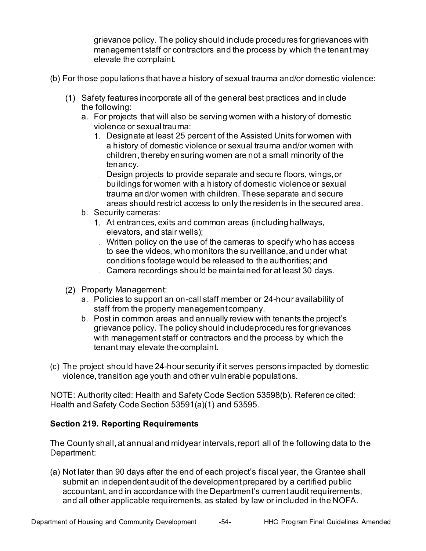grievance policy. The policy should include procedures for grievances with management staff or contractors and the process by which the tenant may elevate the complaint.

- (b) For those populations that have a history of sexual trauma and/or domestic violence:
	- the following: Safety features incorporate all of the general best practices and include
		- a. For projects that will also be serving women with a history of domestic violence or sexual trauma:
			- Designate at least 25 percent of the Assisted Units for women with a history of domestic violence or sexual trauma and/or women with children, thereby ensuring women are not a small minority of the tenancy.
			- Design projects to provide separate and secure floors, wings,or buildings for women with a history of domestic violenceor sexual trauma and/or women with children. These separate and secure areas should restrict access to only the residents in the secured area.
		- b. Security cameras:
			- At entrances, exits and common areas (includinghallways, elevators, and stair wells);
			- Written policy on the use of the cameras to specify who has access to see the videos, who monitors the surveillance,and under what conditions footage would be released to the authorities; and
			- Camera recordings should be maintained for at least 30 days.
	- (2) Property Management:
		- a. Policies to support an on-call staff member or 24-hour availability of staff from the property managementcompany.
		- b. Post in common areas and annually review with tenants the project's grievance policy. The policy should includeprocedures for grievances with management staff or contractors and the process by which the tenant may elevate thecomplaint.
- (c) The project should have 24-hour security if it serves persons impacted by domestic violence, transition age youth and other vulnerable populations.

 NOTE: Authority cited: Health and Safety Code Section 53598(b). Reference cited: Health and Safety Code Section 53591(a)(1) and 53595.

#### <span id="page-57-0"></span>**Section 219. Reporting Requirements**

 The County shall, at annual and midyear intervals, report all of the following data to the Department:

 (a) Not later than 90 days after the end of each project's fiscal year, the Grantee shall submit an independent audit of the development prepared by a certified public accountant, and in accordance with the Department's current audit requirements, and all other applicable requirements, as stated by law or included in the NOFA.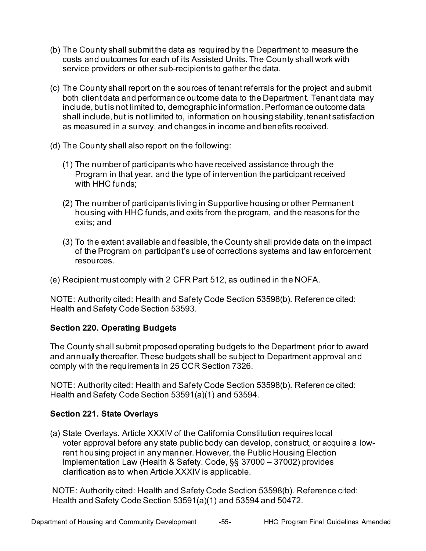- (b) The County shall submit the data as required by the Department to measure the costs and outcomes for each of its Assisted Units. The County shall work with service providers or other sub-recipients to gather the data.
- (c) The County shall report on the sources of tenant referrals for the project and submit both client data and performance outcome data to the Department. Tenant data may include, but is not limited to, demographic information. Performance outcome data shall include, but is not limited to, information on housing stability, tenant satisfaction as measured in a survey, and changes in income and benefits received.
- (d) The County shall also report on the following:
	- (1) The number of participants who have received assistance through the Program in that year, and the type of intervention the participant received with HHC funds;
	- (2) The number of participants living in Supportive housing or other Permanent housing with HHC funds, and exits from the program, and the reasons for the exits; and
	- (3) To the extent available and feasible, the County shall provide data on the impact of the Program on participant's use of corrections systems and law enforcement resources.
- (e) Recipient must comply with 2 CFR Part 512, as outlined in the NOFA.

 NOTE: Authority cited: Health and Safety Code Section 53598(b). Reference cited: Health and Safety Code Section 53593.

# <span id="page-58-0"></span>**Section 220. Operating Budgets**

 The County shall submit proposed operating budgets to the Department prior to award and annually thereafter. These budgets shall be subject to Department approval and comply with the requirements in 25 CCR Section 7326.

 NOTE: Authority cited: Health and Safety Code Section 53598(b). Reference cited: Health and Safety Code Section 53591(a)(1) and 53594.

# <span id="page-58-1"></span>**Section 221. State Overlays**

 (a) State Overlays. Article XXXIV of the California Constitution requires local voter approval before any state public body can develop, construct, or acquire a low- rent housing project in any manner. However, the Public Housing Election clarification as to when Article XXXIV is applicable. Implementation Law (Health & Safety. Code, §§ 37000 – 37002) provides

 NOTE: Authority cited: Health and Safety Code Section 53598(b). Reference cited: Health and Safety Code Section 53591(a)(1) and 53594 and 50472.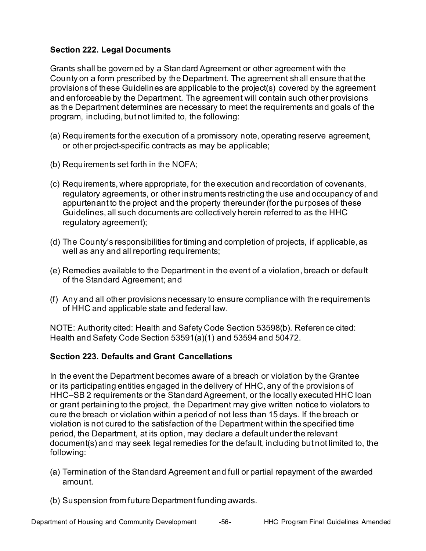# <span id="page-59-0"></span>**Section 222. Legal Documents**

 Grants shall be governed by a Standard Agreement or other agreement with the County on a form prescribed by the Department. The agreement shall ensure that the provisions of these Guidelines are applicable to the project(s) covered by the agreement and enforceable by the Department. The agreement will contain such other provisions as the Department determines are necessary to meet the requirements and goals of the program, including, but not limited to, the following:

- (a) Requirements for the execution of a promissory note, operating reserve agreement, or other project-specific contracts as may be applicable;
- (b) Requirements set forth in the NOFA;
- (c) Requirements, where appropriate, for the execution and recordation of covenants, regulatory agreements, or other instruments restricting the use and occupancy of and appurtenant to the project and the property thereunder (for the purposes of these Guidelines, all such documents are collectively herein referred to as the HHC regulatory agreement);
- (d) The County's responsibilities for timing and completion of projects, if applicable, as well as any and all reporting requirements;
- (e) Remedies available to the Department in the event of a violation, breach or default of the Standard Agreement; and
- (f) Any and all other provisions necessary to ensure compliance with the requirements of HHC and applicable state and federal law.

 NOTE: Authority cited: Health and Safety Code Section 53598(b). Reference cited: Health and Safety Code Section 53591(a)(1) and 53594 and 50472.

#### <span id="page-59-1"></span>**Section 223. Defaults and Grant Cancellations**

 In the event the Department becomes aware of a breach or violation by the Grantee or its participating entities engaged in the delivery of HHC, any of the provisions of HHC–SB 2 requirements or the Standard Agreement, or the locally executed HHC loan or grant pertaining to the project, the Department may give written notice to violators to cure the breach or violation within a period of not less than 15 days. If the breach or violation is not cured to the satisfaction of the Department within the specified time period, the Department, at its option, may declare a default under the relevant document(s) and may seek legal remedies for the default, including but not limited to, the following:

- (a) Termination of the Standard Agreement and full or partial repayment of the awarded amount.
- (b) Suspension from future Department funding awards.